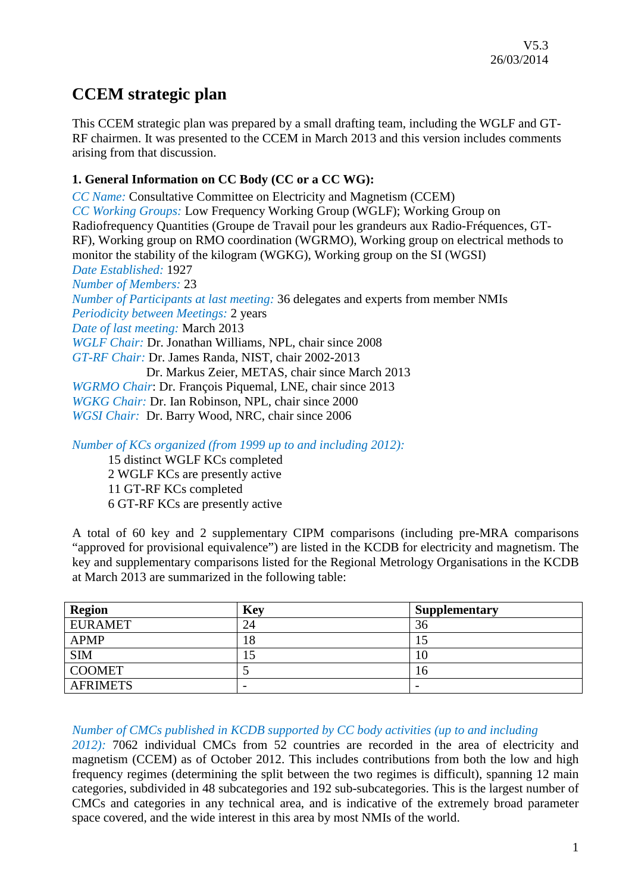## **CCEM strategic plan**

This CCEM strategic plan was prepared by a small drafting team, including the WGLF and GT-RF chairmen. It was presented to the CCEM in March 2013 and this version includes comments arising from that discussion.

## **1. General Information on CC Body (CC or a CC WG):**

*CC Name:* Consultative Committee on Electricity and Magnetism (CCEM) *CC Working Groups:* Low Frequency Working Group (WGLF); Working Group on Radiofrequency Quantities (Groupe de Travail pour les grandeurs aux Radio-Fréquences, GT-RF), Working group on RMO coordination (WGRMO), Working group on electrical methods to monitor the stability of the kilogram (WGKG), Working group on the SI (WGSI) *Date Established:* 1927 *Number of Members:* 23 *Number of Participants at last meeting:* 36 delegates and experts from member NMIs *Periodicity between Meetings:* 2 years *Date of last meeting:* March 2013 *WGLF Chair:* Dr. Jonathan Williams, NPL, chair since 2008 *GT-RF Chair:* Dr. James Randa, NIST, chair 2002-2013 Dr. Markus Zeier, METAS, chair since March 2013 *WGRMO Chair*: Dr. François Piquemal, LNE, chair since 2013 *WGKG Chair:* Dr. Ian Robinson, NPL, chair since 2000 *WGSI Chair:* Dr. Barry Wood, NRC, chair since 2006

*Number of KCs organized (from 1999 up to and including 2012):*

15 distinct WGLF KCs completed 2 WGLF KCs are presently active 11 GT-RF KCs completed 6 GT-RF KCs are presently active

A total of 60 key and 2 supplementary CIPM comparisons (including pre-MRA comparisons "approved for provisional equivalence") are listed in the KCDB for electricity and magnetism. The key and supplementary comparisons listed for the Regional Metrology Organisations in the KCDB at March 2013 are summarized in the following table:

| <b>Region</b>   | <b>Key</b>               | <b>Supplementary</b>     |
|-----------------|--------------------------|--------------------------|
| <b>EURAMET</b>  | 24                       | 36                       |
| <b>APMP</b>     | 18                       | 1J                       |
| <b>SIM</b>      | LJ                       | 10                       |
| <b>COOMET</b>   |                          | 16                       |
| <b>AFRIMETS</b> | $\overline{\phantom{0}}$ | $\overline{\phantom{0}}$ |

## *Number of CMCs published in KCDB supported by CC body activities (up to and including*

*2012):* 7062 individual CMCs from 52 countries are recorded in the area of electricity and magnetism (CCEM) as of October 2012. This includes contributions from both the low and high frequency regimes (determining the split between the two regimes is difficult), spanning 12 main categories, subdivided in 48 subcategories and 192 sub-subcategories. This is the largest number of CMCs and categories in any technical area, and is indicative of the extremely broad parameter space covered, and the wide interest in this area by most NMIs of the world.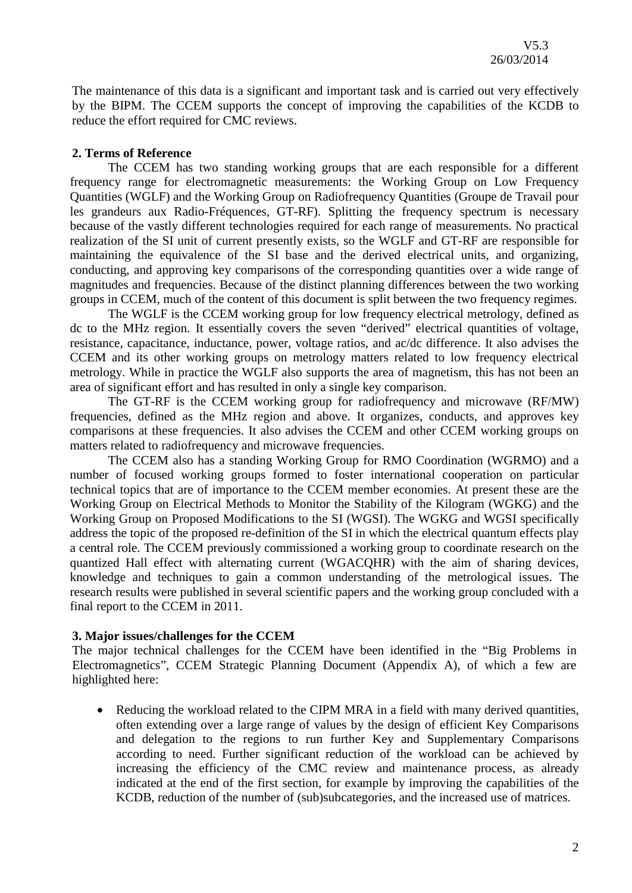The maintenance of this data is a significant and important task and is carried out very effectively by the BIPM. The CCEM supports the concept of improving the capabilities of the KCDB to reduce the effort required for CMC reviews.

#### **2. Terms of Reference**

The CCEM has two standing working groups that are each responsible for a different frequency range for electromagnetic measurements: the Working Group on Low Frequency Quantities (WGLF) and the Working Group on Radiofrequency Quantities (Groupe de Travail pour les grandeurs aux Radio-Fréquences, GT-RF). Splitting the frequency spectrum is necessary because of the vastly different technologies required for each range of measurements. No practical realization of the SI unit of current presently exists, so the WGLF and GT-RF are responsible for maintaining the equivalence of the SI base and the derived electrical units, and organizing, conducting, and approving key comparisons of the corresponding quantities over a wide range of magnitudes and frequencies. Because of the distinct planning differences between the two working groups in CCEM, much of the content of this document is split between the two frequency regimes.

The WGLF is the CCEM working group for low frequency electrical metrology, defined as dc to the MHz region. It essentially covers the seven "derived" electrical quantities of voltage, resistance, capacitance, inductance, power, voltage ratios, and ac/dc difference. It also advises the CCEM and its other working groups on metrology matters related to low frequency electrical metrology. While in practice the WGLF also supports the area of magnetism, this has not been an area of significant effort and has resulted in only a single key comparison.

The GT-RF is the CCEM working group for radiofrequency and microwave (RF/MW) frequencies, defined as the MHz region and above. It organizes, conducts, and approves key comparisons at these frequencies. It also advises the CCEM and other CCEM working groups on matters related to radiofrequency and microwave frequencies.

The CCEM also has a standing Working Group for RMO Coordination (WGRMO) and a number of focused working groups formed to foster international cooperation on particular technical topics that are of importance to the CCEM member economies. At present these are the Working Group on Electrical Methods to Monitor the Stability of the Kilogram (WGKG) and the Working Group on Proposed Modifications to the SI (WGSI). The WGKG and WGSI specifically address the topic of the proposed re-definition of the SI in which the electrical quantum effects play a central role. The CCEM previously commissioned a working group to coordinate research on the quantized Hall effect with alternating current (WGACQHR) with the aim of sharing devices, knowledge and techniques to gain a common understanding of the metrological issues. The research results were published in several scientific papers and the working group concluded with a final report to the CCEM in 2011.

#### **3. Major issues/challenges for the CCEM**

The major technical challenges for the CCEM have been identified in the "Big Problems in Electromagnetics", CCEM Strategic Planning Document (Appendix A), of which a few are highlighted here:

• Reducing the workload related to the CIPM MRA in a field with many derived quantities, often extending over a large range of values by the design of efficient Key Comparisons and delegation to the regions to run further Key and Supplementary Comparisons according to need. Further significant reduction of the workload can be achieved by increasing the efficiency of the CMC review and maintenance process, as already indicated at the end of the first section, for example by improving the capabilities of the KCDB, reduction of the number of (sub)subcategories, and the increased use of matrices.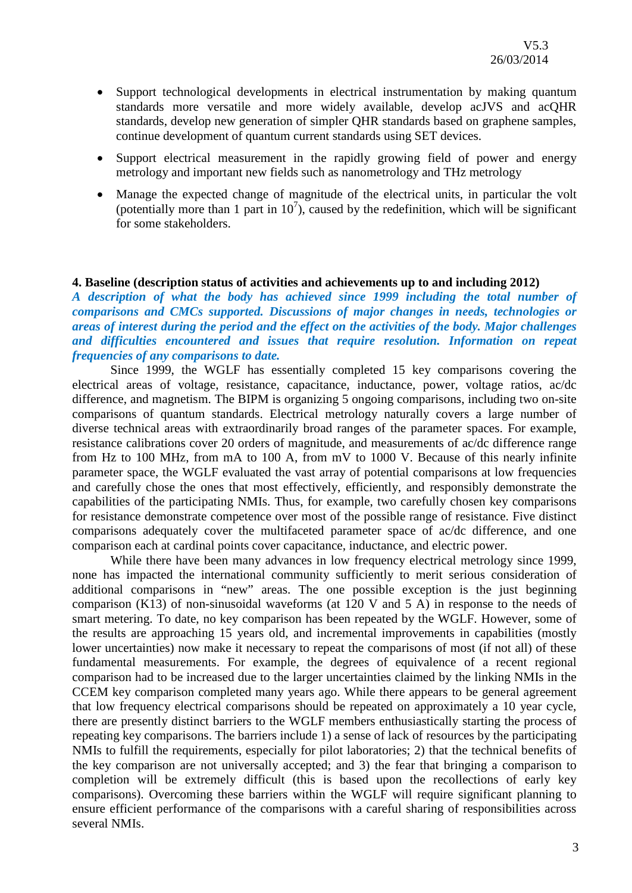- Support technological developments in electrical instrumentation by making quantum standards more versatile and more widely available, develop acJVS and acQHR standards, develop new generation of simpler QHR standards based on graphene samples, continue development of quantum current standards using SET devices.
- Support electrical measurement in the rapidly growing field of power and energy metrology and important new fields such as nanometrology and THz metrology
- Manage the expected change of magnitude of the electrical units, in particular the volt (potentially more than 1 part in  $10^7$ ), caused by the redefinition, which will be significant for some stakeholders.

#### **4. Baseline (description status of activities and achievements up to and including 2012)**

*A description of what the body has achieved since 1999 including the total number of comparisons and CMCs supported. Discussions of major changes in needs, technologies or areas of interest during the period and the effect on the activities of the body. Major challenges and difficulties encountered and issues that require resolution. Information on repeat frequencies of any comparisons to date.*

Since 1999, the WGLF has essentially completed 15 key comparisons covering the electrical areas of voltage, resistance, capacitance, inductance, power, voltage ratios, ac/dc difference, and magnetism. The BIPM is organizing 5 ongoing comparisons, including two on-site comparisons of quantum standards. Electrical metrology naturally covers a large number of diverse technical areas with extraordinarily broad ranges of the parameter spaces. For example, resistance calibrations cover 20 orders of magnitude, and measurements of ac/dc difference range from Hz to 100 MHz, from mA to 100 A, from mV to 1000 V. Because of this nearly infinite parameter space, the WGLF evaluated the vast array of potential comparisons at low frequencies and carefully chose the ones that most effectively, efficiently, and responsibly demonstrate the capabilities of the participating NMIs. Thus, for example, two carefully chosen key comparisons for resistance demonstrate competence over most of the possible range of resistance. Five distinct comparisons adequately cover the multifaceted parameter space of ac/dc difference, and one comparison each at cardinal points cover capacitance, inductance, and electric power.

While there have been many advances in low frequency electrical metrology since 1999, none has impacted the international community sufficiently to merit serious consideration of additional comparisons in "new" areas. The one possible exception is the just beginning comparison (K13) of non-sinusoidal waveforms (at 120 V and 5 A) in response to the needs of smart metering. To date, no key comparison has been repeated by the WGLF. However, some of the results are approaching 15 years old, and incremental improvements in capabilities (mostly lower uncertainties) now make it necessary to repeat the comparisons of most (if not all) of these fundamental measurements. For example, the degrees of equivalence of a recent regional comparison had to be increased due to the larger uncertainties claimed by the linking NMIs in the CCEM key comparison completed many years ago. While there appears to be general agreement that low frequency electrical comparisons should be repeated on approximately a 10 year cycle, there are presently distinct barriers to the WGLF members enthusiastically starting the process of repeating key comparisons. The barriers include 1) a sense of lack of resources by the participating NMIs to fulfill the requirements, especially for pilot laboratories; 2) that the technical benefits of the key comparison are not universally accepted; and 3) the fear that bringing a comparison to completion will be extremely difficult (this is based upon the recollections of early key comparisons). Overcoming these barriers within the WGLF will require significant planning to ensure efficient performance of the comparisons with a careful sharing of responsibilities across several NMIs.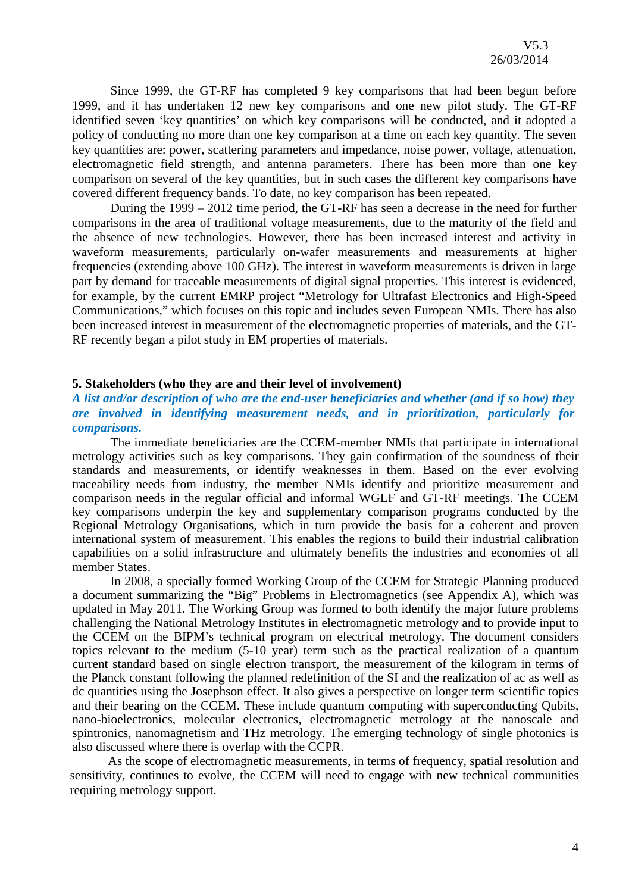Since 1999, the GT-RF has completed 9 key comparisons that had been begun before 1999, and it has undertaken 12 new key comparisons and one new pilot study. The GT-RF identified seven 'key quantities' on which key comparisons will be conducted, and it adopted a policy of conducting no more than one key comparison at a time on each key quantity. The seven key quantities are: power, scattering parameters and impedance, noise power, voltage, attenuation, electromagnetic field strength, and antenna parameters. There has been more than one key comparison on several of the key quantities, but in such cases the different key comparisons have covered different frequency bands. To date, no key comparison has been repeated.

During the 1999 – 2012 time period, the GT-RF has seen a decrease in the need for further comparisons in the area of traditional voltage measurements, due to the maturity of the field and the absence of new technologies. However, there has been increased interest and activity in waveform measurements, particularly on-wafer measurements and measurements at higher frequencies (extending above 100 GHz). The interest in waveform measurements is driven in large part by demand for traceable measurements of digital signal properties. This interest is evidenced, for example, by the current EMRP project "Metrology for Ultrafast Electronics and High-Speed Communications," which focuses on this topic and includes seven European NMIs. There has also been increased interest in measurement of the electromagnetic properties of materials, and the GT-RF recently began a pilot study in EM properties of materials.

#### **5. Stakeholders (who they are and their level of involvement)**

## *A list and/or description of who are the end-user beneficiaries and whether (and if so how) they are involved in identifying measurement needs, and in prioritization, particularly for comparisons.*

The immediate beneficiaries are the CCEM-member NMIs that participate in international metrology activities such as key comparisons. They gain confirmation of the soundness of their standards and measurements, or identify weaknesses in them. Based on the ever evolving traceability needs from industry, the member NMIs identify and prioritize measurement and comparison needs in the regular official and informal WGLF and GT-RF meetings. The CCEM key comparisons underpin the key and supplementary comparison programs conducted by the Regional Metrology Organisations, which in turn provide the basis for a coherent and proven international system of measurement. This enables the regions to build their industrial calibration capabilities on a solid infrastructure and ultimately benefits the industries and economies of all member States.

In 2008, a specially formed Working Group of the CCEM for Strategic Planning produced a document summarizing the "Big" Problems in Electromagnetics (see Appendix A), which was updated in May 2011. The Working Group was formed to both identify the major future problems challenging the National Metrology Institutes in electromagnetic metrology and to provide input to the CCEM on the BIPM's technical program on electrical metrology. The document considers topics relevant to the medium (5-10 year) term such as the practical realization of a quantum current standard based on single electron transport, the measurement of the kilogram in terms of the Planck constant following the planned redefinition of the SI and the realization of ac as well as dc quantities using the Josephson effect. It also gives a perspective on longer term scientific topics and their bearing on the CCEM. These include quantum computing with superconducting Qubits, nano-bioelectronics, molecular electronics, electromagnetic metrology at the nanoscale and spintronics, nanomagnetism and THz metrology. The emerging technology of single photonics is also discussed where there is overlap with the CCPR.

As the scope of electromagnetic measurements, in terms of frequency, spatial resolution and sensitivity, continues to evolve, the CCEM will need to engage with new technical communities requiring metrology support.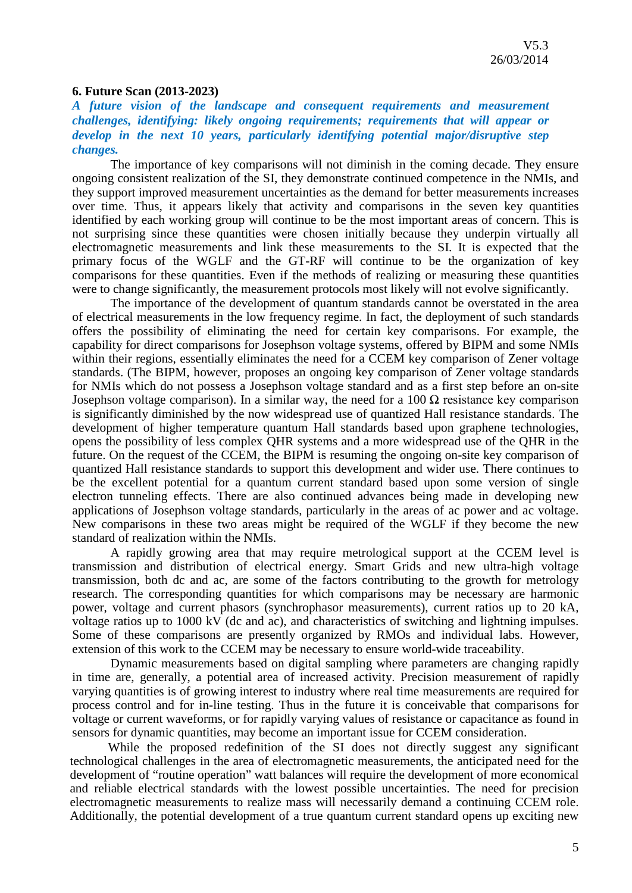#### **6. Future Scan (2013-2023)**

## *A future vision of the landscape and consequent requirements and measurement challenges, identifying: likely ongoing requirements; requirements that will appear or develop in the next 10 years, particularly identifying potential major/disruptive step changes.*

The importance of key comparisons will not diminish in the coming decade. They ensure ongoing consistent realization of the SI, they demonstrate continued competence in the NMIs, and they support improved measurement uncertainties as the demand for better measurements increases over time. Thus, it appears likely that activity and comparisons in the seven key quantities identified by each working group will continue to be the most important areas of concern. This is not surprising since these quantities were chosen initially because they underpin virtually all electromagnetic measurements and link these measurements to the SI. It is expected that the primary focus of the WGLF and the GT-RF will continue to be the organization of key comparisons for these quantities. Even if the methods of realizing or measuring these quantities were to change significantly, the measurement protocols most likely will not evolve significantly.

The importance of the development of quantum standards cannot be overstated in the area of electrical measurements in the low frequency regime. In fact, the deployment of such standards offers the possibility of eliminating the need for certain key comparisons. For example, the capability for direct comparisons for Josephson voltage systems, offered by BIPM and some NMIs within their regions, essentially eliminates the need for a CCEM key comparison of Zener voltage standards. (The BIPM, however, proposes an ongoing key comparison of Zener voltage standards for NMIs which do not possess a Josephson voltage standard and as a first step before an on-site Josephson voltage comparison). In a similar way, the need for a 100 Ω resistance key comparison is significantly diminished by the now widespread use of quantized Hall resistance standards. The development of higher temperature quantum Hall standards based upon graphene technologies, opens the possibility of less complex QHR systems and a more widespread use of the QHR in the future. On the request of the CCEM, the BIPM is resuming the ongoing on-site key comparison of quantized Hall resistance standards to support this development and wider use. There continues to be the excellent potential for a quantum current standard based upon some version of single electron tunneling effects. There are also continued advances being made in developing new applications of Josephson voltage standards, particularly in the areas of ac power and ac voltage. New comparisons in these two areas might be required of the WGLF if they become the new standard of realization within the NMIs.

A rapidly growing area that may require metrological support at the CCEM level is transmission and distribution of electrical energy. Smart Grids and new ultra-high voltage transmission, both dc and ac, are some of the factors contributing to the growth for metrology research. The corresponding quantities for which comparisons may be necessary are harmonic power, voltage and current phasors (synchrophasor measurements), current ratios up to 20 kA, voltage ratios up to 1000 kV (dc and ac), and characteristics of switching and lightning impulses. Some of these comparisons are presently organized by RMOs and individual labs. However, extension of this work to the CCEM may be necessary to ensure world-wide traceability.

Dynamic measurements based on digital sampling where parameters are changing rapidly in time are, generally, a potential area of increased activity. Precision measurement of rapidly varying quantities is of growing interest to industry where real time measurements are required for process control and for in-line testing. Thus in the future it is conceivable that comparisons for voltage or current waveforms, or for rapidly varying values of resistance or capacitance as found in sensors for dynamic quantities, may become an important issue for CCEM consideration.

While the proposed redefinition of the SI does not directly suggest any significant technological challenges in the area of electromagnetic measurements, the anticipated need for the development of "routine operation" watt balances will require the development of more economical and reliable electrical standards with the lowest possible uncertainties. The need for precision electromagnetic measurements to realize mass will necessarily demand a continuing CCEM role. Additionally, the potential development of a true quantum current standard opens up exciting new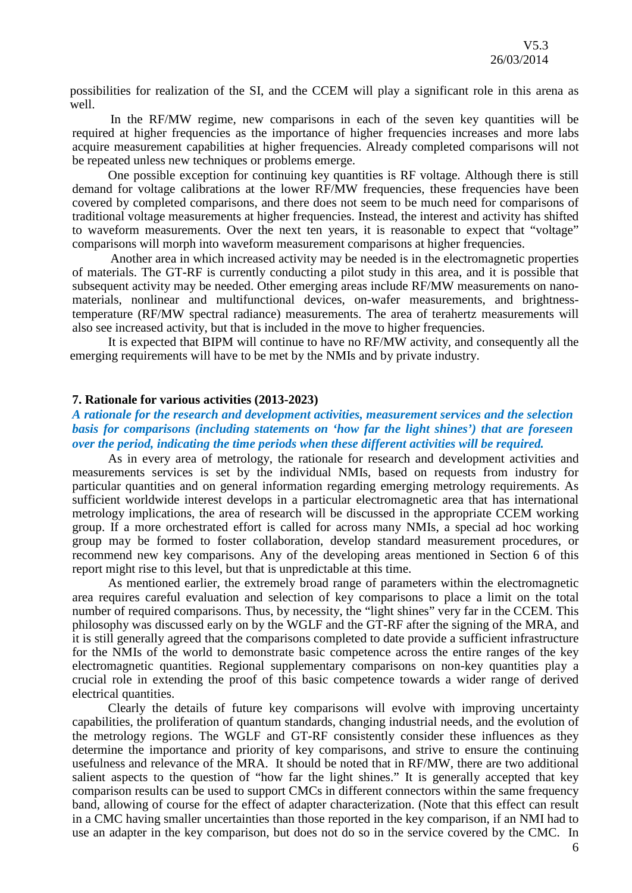possibilities for realization of the SI, and the CCEM will play a significant role in this arena as well.

In the RF/MW regime, new comparisons in each of the seven key quantities will be required at higher frequencies as the importance of higher frequencies increases and more labs acquire measurement capabilities at higher frequencies. Already completed comparisons will not be repeated unless new techniques or problems emerge.

One possible exception for continuing key quantities is RF voltage. Although there is still demand for voltage calibrations at the lower RF/MW frequencies, these frequencies have been covered by completed comparisons, and there does not seem to be much need for comparisons of traditional voltage measurements at higher frequencies. Instead, the interest and activity has shifted to waveform measurements. Over the next ten years, it is reasonable to expect that "voltage" comparisons will morph into waveform measurement comparisons at higher frequencies.

Another area in which increased activity may be needed is in the electromagnetic properties of materials. The GT-RF is currently conducting a pilot study in this area, and it is possible that subsequent activity may be needed. Other emerging areas include RF/MW measurements on nanomaterials, nonlinear and multifunctional devices, on-wafer measurements, and brightnesstemperature (RF/MW spectral radiance) measurements. The area of terahertz measurements will also see increased activity, but that is included in the move to higher frequencies.

It is expected that BIPM will continue to have no RF/MW activity, and consequently all the emerging requirements will have to be met by the NMIs and by private industry.

#### **7. Rationale for various activities (2013-2023)**

## *A rationale for the research and development activities, measurement services and the selection basis for comparisons (including statements on 'how far the light shines') that are foreseen over the period, indicating the time periods when these different activities will be required.*

As in every area of metrology, the rationale for research and development activities and measurements services is set by the individual NMIs, based on requests from industry for particular quantities and on general information regarding emerging metrology requirements. As sufficient worldwide interest develops in a particular electromagnetic area that has international metrology implications, the area of research will be discussed in the appropriate CCEM working group. If a more orchestrated effort is called for across many NMIs, a special ad hoc working group may be formed to foster collaboration, develop standard measurement procedures, or recommend new key comparisons. Any of the developing areas mentioned in Section 6 of this report might rise to this level, but that is unpredictable at this time.

As mentioned earlier, the extremely broad range of parameters within the electromagnetic area requires careful evaluation and selection of key comparisons to place a limit on the total number of required comparisons. Thus, by necessity, the "light shines" very far in the CCEM. This philosophy was discussed early on by the WGLF and the GT-RF after the signing of the MRA, and it is still generally agreed that the comparisons completed to date provide a sufficient infrastructure for the NMIs of the world to demonstrate basic competence across the entire ranges of the key electromagnetic quantities. Regional supplementary comparisons on non-key quantities play a crucial role in extending the proof of this basic competence towards a wider range of derived electrical quantities.

Clearly the details of future key comparisons will evolve with improving uncertainty capabilities, the proliferation of quantum standards, changing industrial needs, and the evolution of the metrology regions. The WGLF and GT-RF consistently consider these influences as they determine the importance and priority of key comparisons, and strive to ensure the continuing usefulness and relevance of the MRA. It should be noted that in RF/MW, there are two additional salient aspects to the question of "how far the light shines." It is generally accepted that key comparison results can be used to support CMCs in different connectors within the same frequency band, allowing of course for the effect of adapter characterization. (Note that this effect can result in a CMC having smaller uncertainties than those reported in the key comparison, if an NMI had to use an adapter in the key comparison, but does not do so in the service covered by the CMC. In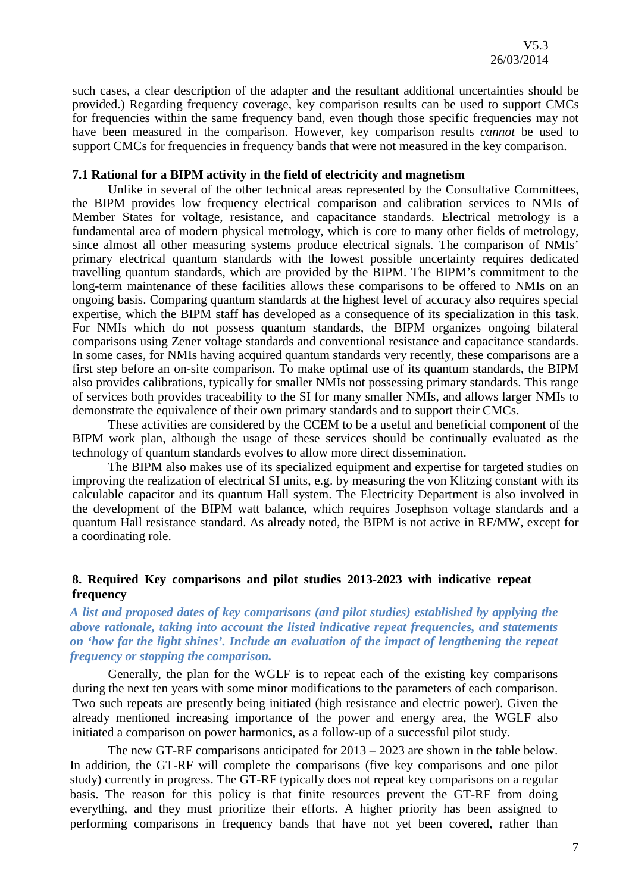such cases, a clear description of the adapter and the resultant additional uncertainties should be provided.) Regarding frequency coverage, key comparison results can be used to support CMCs for frequencies within the same frequency band, even though those specific frequencies may not have been measured in the comparison. However, key comparison results *cannot* be used to support CMCs for frequencies in frequency bands that were not measured in the key comparison.

#### **7.1 Rational for a BIPM activity in the field of electricity and magnetism**

Unlike in several of the other technical areas represented by the Consultative Committees, the BIPM provides low frequency electrical comparison and calibration services to NMIs of Member States for voltage, resistance, and capacitance standards. Electrical metrology is a fundamental area of modern physical metrology, which is core to many other fields of metrology, since almost all other measuring systems produce electrical signals. The comparison of NMIs' primary electrical quantum standards with the lowest possible uncertainty requires dedicated travelling quantum standards, which are provided by the BIPM. The BIPM's commitment to the long-term maintenance of these facilities allows these comparisons to be offered to NMIs on an ongoing basis. Comparing quantum standards at the highest level of accuracy also requires special expertise, which the BIPM staff has developed as a consequence of its specialization in this task. For NMIs which do not possess quantum standards, the BIPM organizes ongoing bilateral comparisons using Zener voltage standards and conventional resistance and capacitance standards. In some cases, for NMIs having acquired quantum standards very recently, these comparisons are a first step before an on-site comparison. To make optimal use of its quantum standards, the BIPM also provides calibrations, typically for smaller NMIs not possessing primary standards. This range of services both provides traceability to the SI for many smaller NMIs, and allows larger NMIs to demonstrate the equivalence of their own primary standards and to support their CMCs.

These activities are considered by the CCEM to be a useful and beneficial component of the BIPM work plan, although the usage of these services should be continually evaluated as the technology of quantum standards evolves to allow more direct dissemination.

The BIPM also makes use of its specialized equipment and expertise for targeted studies on improving the realization of electrical SI units, e.g. by measuring the von Klitzing constant with its calculable capacitor and its quantum Hall system. The Electricity Department is also involved in the development of the BIPM watt balance, which requires Josephson voltage standards and a quantum Hall resistance standard. As already noted, the BIPM is not active in RF/MW, except for a coordinating role.

## **8. Required Key comparisons and pilot studies 2013-2023 with indicative repeat frequency**

## *A list and proposed dates of key comparisons (and pilot studies) established by applying the above rationale, taking into account the listed indicative repeat frequencies, and statements on 'how far the light shines'. Include an evaluation of the impact of lengthening the repeat frequency or stopping the comparison.*

Generally, the plan for the WGLF is to repeat each of the existing key comparisons during the next ten years with some minor modifications to the parameters of each comparison. Two such repeats are presently being initiated (high resistance and electric power). Given the already mentioned increasing importance of the power and energy area, the WGLF also initiated a comparison on power harmonics, as a follow-up of a successful pilot study.

The new GT-RF comparisons anticipated for 2013 – 2023 are shown in the table below. In addition, the GT-RF will complete the comparisons (five key comparisons and one pilot study) currently in progress. The GT-RF typically does not repeat key comparisons on a regular basis. The reason for this policy is that finite resources prevent the GT-RF from doing everything, and they must prioritize their efforts. A higher priority has been assigned to performing comparisons in frequency bands that have not yet been covered, rather than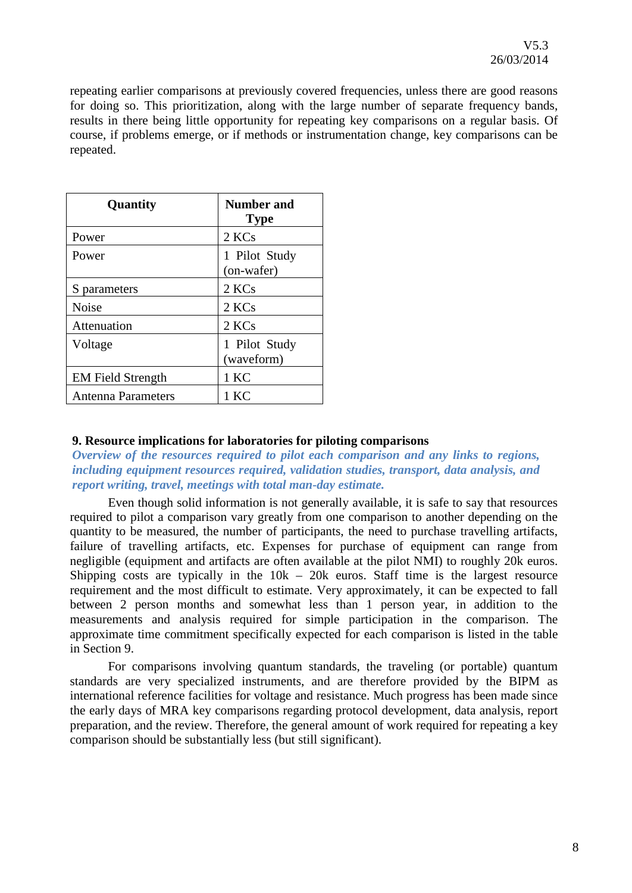repeating earlier comparisons at previously covered frequencies, unless there are good reasons for doing so. This prioritization, along with the large number of separate frequency bands, results in there being little opportunity for repeating key comparisons on a regular basis. Of course, if problems emerge, or if methods or instrumentation change, key comparisons can be repeated.

| Quantity                 | <b>Number and</b><br><b>Type</b> |
|--------------------------|----------------------------------|
| Power                    | 2 KCs                            |
| Power                    | 1 Pilot Study<br>(on-wafer)      |
| S parameters             | 2 KCs                            |
| <b>Noise</b>             | 2 KCs                            |
| Attenuation              | 2 KCs                            |
| Voltage                  | 1 Pilot Study<br>(waveform)      |
| <b>EM Field Strength</b> | 1 KC                             |
| Antenna Parameters       | 1 KC                             |

#### **9. Resource implications for laboratories for piloting comparisons**

*Overview of the resources required to pilot each comparison and any links to regions, including equipment resources required, validation studies, transport, data analysis, and report writing, travel, meetings with total man-day estimate.*

Even though solid information is not generally available, it is safe to say that resources required to pilot a comparison vary greatly from one comparison to another depending on the quantity to be measured, the number of participants, the need to purchase travelling artifacts, failure of travelling artifacts, etc. Expenses for purchase of equipment can range from negligible (equipment and artifacts are often available at the pilot NMI) to roughly 20k euros. Shipping costs are typically in the  $10k - 20k$  euros. Staff time is the largest resource requirement and the most difficult to estimate. Very approximately, it can be expected to fall between 2 person months and somewhat less than 1 person year, in addition to the measurements and analysis required for simple participation in the comparison. The approximate time commitment specifically expected for each comparison is listed in the table in Section 9.

For comparisons involving quantum standards, the traveling (or portable) quantum standards are very specialized instruments, and are therefore provided by the BIPM as international reference facilities for voltage and resistance. Much progress has been made since the early days of MRA key comparisons regarding protocol development, data analysis, report preparation, and the review. Therefore, the general amount of work required for repeating a key comparison should be substantially less (but still significant).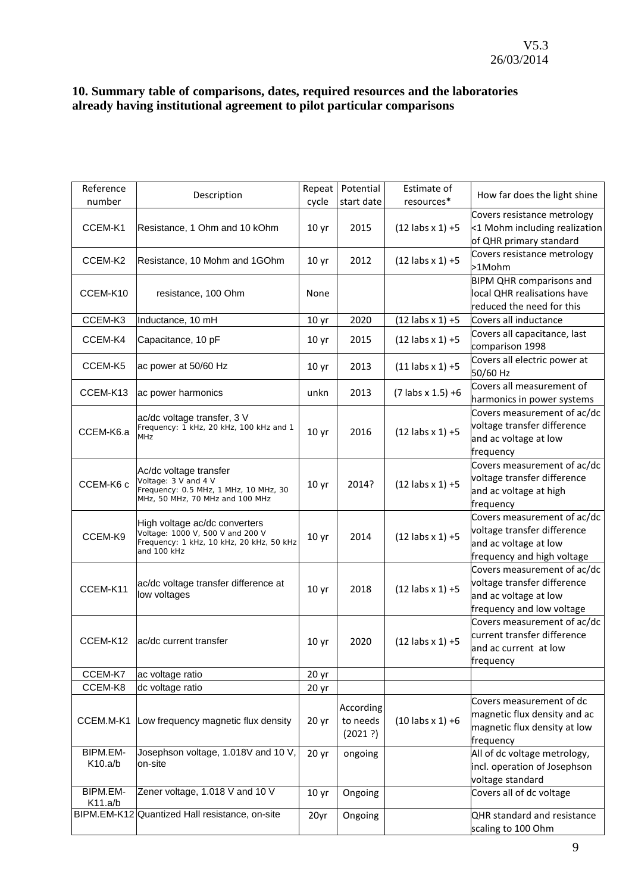## **10. Summary table of comparisons, dates, required resources and the laboratories already having institutional agreement to pilot particular comparisons**

| Reference | Description                                                       | Repeat           | Potential  | Estimate of           | How far does the light shine                                 |
|-----------|-------------------------------------------------------------------|------------------|------------|-----------------------|--------------------------------------------------------------|
| number    |                                                                   | cycle            | start date | resources*            |                                                              |
| CCEM-K1   | Resistance, 1 Ohm and 10 kOhm                                     | 10 <sub>yr</sub> | 2015       | $(12$ labs $x 1$ ) +5 | Covers resistance metrology<br><1 Mohm including realization |
|           |                                                                   |                  |            |                       | of QHR primary standard                                      |
|           |                                                                   |                  |            |                       | Covers resistance metrology                                  |
| CCEM-K2   | Resistance, 10 Mohm and 1GOhm                                     | 10 <sub>yr</sub> | 2012       | $(12$ labs $x 1$ ) +5 | >1Mohm                                                       |
|           |                                                                   |                  |            |                       | <b>BIPM QHR comparisons and</b>                              |
| CCEM-K10  | resistance, 100 Ohm                                               | None             |            |                       | local QHR realisations have                                  |
|           |                                                                   |                  |            |                       | reduced the need for this                                    |
| CCEM-K3   | Inductance, 10 mH                                                 | 10 <sub>yr</sub> | 2020       | $(12$ labs $x 1$ ) +5 | Covers all inductance                                        |
| CCEM-K4   | Capacitance, 10 pF                                                | 10 <sub>yr</sub> | 2015       | $(12$ labs $x 1$ ) +5 | Covers all capacitance, last                                 |
|           |                                                                   |                  |            |                       | comparison 1998                                              |
| CCEM-K5   | ac power at 50/60 Hz                                              | 10 <sub>yr</sub> | 2013       | $(11$ labs $x 1$ ) +5 | Covers all electric power at                                 |
|           |                                                                   |                  |            |                       | 50/60 Hz                                                     |
| CCEM-K13  | ac power harmonics                                                | unkn             | 2013       | $(7$ labs x 1.5) +6   | Covers all measurement of                                    |
|           |                                                                   |                  |            |                       | harmonics in power systems                                   |
|           | ac/dc voltage transfer, 3 V                                       |                  |            |                       | Covers measurement of ac/dc                                  |
| CCEM-K6.a | Frequency: 1 kHz, 20 kHz, 100 kHz and 1<br>MHz                    | 10 <sub>yr</sub> | 2016       | $(12$ labs $x 1$ ) +5 | voltage transfer difference                                  |
|           |                                                                   |                  |            |                       | and ac voltage at low                                        |
|           |                                                                   |                  |            |                       | frequency<br>Covers measurement of ac/dc                     |
|           | Ac/dc voltage transfer                                            |                  |            |                       | voltage transfer difference                                  |
| CCEM-K6 c | Voltage: 3 V and 4 V<br>Frequency: 0.5 MHz, 1 MHz, 10 MHz, 30     | 10 <sub>yr</sub> | 2014?      | $(12$ labs $x 1$ ) +5 | and ac voltage at high                                       |
|           | MHz, 50 MHz, 70 MHz and 100 MHz                                   |                  |            |                       | frequency                                                    |
|           |                                                                   |                  |            |                       | Covers measurement of ac/dc                                  |
|           | High voltage ac/dc converters<br>Voltage: 1000 V, 500 V and 200 V |                  |            |                       | voltage transfer difference                                  |
| CCEM-K9   | Frequency: 1 kHz, 10 kHz, 20 kHz, 50 kHz                          | 10 <sub>yr</sub> | 2014       | $(12$ labs $x 1$ ) +5 | and ac voltage at low                                        |
|           | and 100 kHz                                                       |                  |            |                       | frequency and high voltage                                   |
|           |                                                                   |                  |            |                       | Covers measurement of ac/dc                                  |
| CCEM-K11  | ac/dc voltage transfer difference at                              |                  | 2018       | $(12$ labs $x 1$ ) +5 | voltage transfer difference                                  |
|           | low voltages                                                      | 10 <sub>yr</sub> |            |                       | and ac voltage at low                                        |
|           |                                                                   |                  |            |                       | frequency and low voltage                                    |
|           |                                                                   |                  |            |                       | Covers measurement of ac/dc                                  |
| CCEM-K12  | ac/dc current transfer                                            | 10 <sub>yr</sub> | 2020       | $(12$ labs $x 1$ ) +5 | current transfer difference                                  |
|           |                                                                   |                  |            |                       | and ac current at low                                        |
|           |                                                                   |                  |            |                       | frequency                                                    |
| CCEM-K7   | ac voltage ratio                                                  | 20 <sub>yr</sub> |            |                       |                                                              |
| CCEM-K8   | dc voltage ratio                                                  | 20 <sub>yr</sub> |            |                       |                                                              |
|           |                                                                   |                  | According  |                       | Covers measurement of dc                                     |
| CCEM.M-K1 | Low frequency magnetic flux density                               | 20 <sub>yr</sub> | to needs   | $(10$ labs $x 1$ ) +6 | magnetic flux density and ac                                 |
|           |                                                                   |                  | (2021 ?)   |                       | magnetic flux density at low<br>frequency                    |
| BIPM.EM-  | Josephson voltage, 1.018V and 10 V,                               | 20 <sub>yr</sub> | ongoing    |                       | All of dc voltage metrology,                                 |
| K10.a/b   | on-site                                                           |                  |            |                       | incl. operation of Josephson                                 |
|           |                                                                   |                  |            |                       | voltage standard                                             |
| BIPM.EM-  | Zener voltage, 1.018 V and 10 V                                   | 10 <sub>yr</sub> | Ongoing    |                       | Covers all of dc voltage                                     |
| K11.a/b   |                                                                   |                  |            |                       |                                                              |
|           | BIPM.EM-K12 Quantized Hall resistance, on-site                    | 20yr             | Ongoing    |                       | QHR standard and resistance                                  |
|           |                                                                   |                  |            |                       | scaling to 100 Ohm                                           |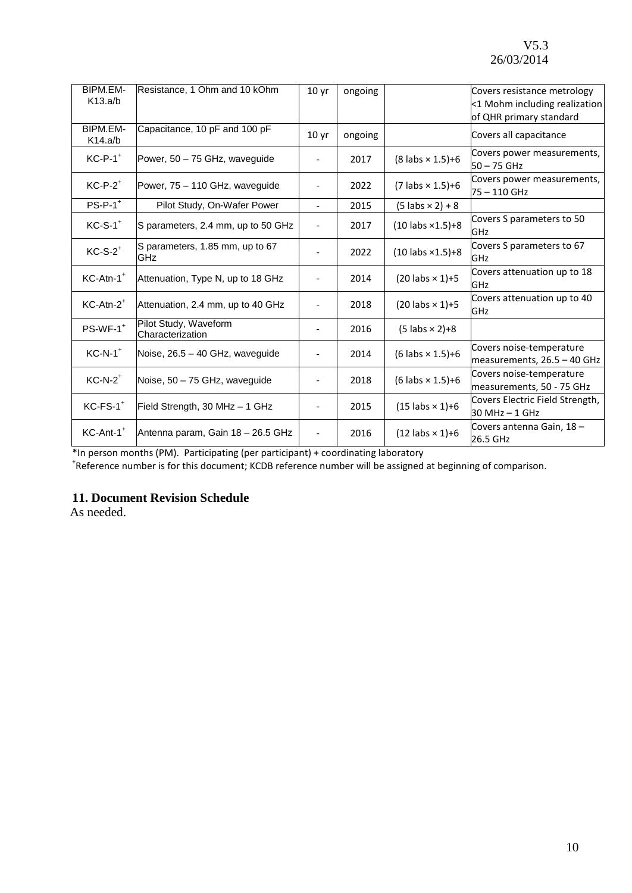| BIPM.EM-<br>K13.a/b     | Resistance, 1 Ohm and 10 kOhm             | 10 <sub>yr</sub>             | ongoing |                                 | Covers resistance metrology<br><1 Mohm including realization<br>of QHR primary standard |
|-------------------------|-------------------------------------------|------------------------------|---------|---------------------------------|-----------------------------------------------------------------------------------------|
| BIPM.EM-<br>K14.a/b     | Capacitance, 10 pF and 100 pF             | 10 <sub>yr</sub>             | ongoing |                                 | Covers all capacitance                                                                  |
| $KC-P-1$ <sup>+</sup>   | Power, 50 - 75 GHz, waveguide             |                              | 2017    | $(8$ labs $\times$ 1.5)+6       | Covers power measurements,<br>$50 - 75$ GHz                                             |
| $KC-P-2$ <sup>+</sup>   | Power, 75 - 110 GHz, waveguide            |                              | 2022    | $(7 \text{ labs} \times 1.5)+6$ | Covers power measurements,<br>75 - 110 GHz                                              |
| $PS-P-1$ <sup>+</sup>   | Pilot Study, On-Wafer Power               | $\overline{\phantom{a}}$     | 2015    | $(5 \text{ labs} \times 2) + 8$ |                                                                                         |
| $KC-S-1$ <sup>+</sup>   | S parameters, 2.4 mm, up to 50 GHz        | $\overline{\phantom{a}}$     | 2017    | $(10$ labs $\times 1.5$ )+8     | Covers S parameters to 50<br>GHz                                                        |
| $KC-S-2$ <sup>+</sup>   | S parameters, 1.85 mm, up to 67<br>GHz    |                              | 2022    | $(10$ labs $\times 1.5$ )+8     | Covers S parameters to 67<br><b>GHz</b>                                                 |
| $KC-Atn-1$ <sup>+</sup> | Attenuation, Type N, up to 18 GHz         | $\qquad \qquad -$            | 2014    | $(20$ labs $\times$ 1)+5        | Covers attenuation up to 18<br>GHz                                                      |
| $KC-Atn-2$ <sup>+</sup> | Attenuation, 2.4 mm, up to 40 GHz         | $\overline{\phantom{a}}$     | 2018    | $(20$ labs $\times$ 1)+5        | Covers attenuation up to 40<br><b>GHz</b>                                               |
| $PS-WF-1$ <sup>+</sup>  | Pilot Study, Waveform<br>Characterization | $\overline{\phantom{a}}$     | 2016    | $(5$ labs $\times$ 2)+8         |                                                                                         |
| $KC-N-1$ <sup>+</sup>   | Noise, 26.5 - 40 GHz, waveguide           |                              | 2014    | $(6$ labs $\times$ 1.5)+6       | Covers noise-temperature<br>measurements, 26.5 - 40 GHz                                 |
| $KC-N-2$ <sup>+</sup>   | Noise, 50 - 75 GHz, wavequide             |                              | 2018    | $(6$ labs $\times$ 1.5)+6       | Covers noise-temperature<br>measurements, 50 - 75 GHz                                   |
| $KC$ - $FS$ - $1^+$     | Field Strength, 30 MHz - 1 GHz            | $\qquad \qquad -$            | 2015    | $(15 \text{ labs} \times 1)+6$  | Covers Electric Field Strength,<br>$30$ MHz $-$ 1 GHz                                   |
| KC-Ant-1 <sup>+</sup>   | Antenna param, Gain 18 - 26.5 GHz         | $\qquad \qquad \blacksquare$ | 2016    | $(12$ labs $\times$ 1)+6        | Covers antenna Gain, 18 -<br>26.5 GHz                                                   |

\*In person months (PM). Participating (per participant) + coordinating laboratory <sup>+</sup> Reference number is for this document; KCDB reference number will be assigned at beginning of comparison.

## **11. Document Revision Schedule**

As needed.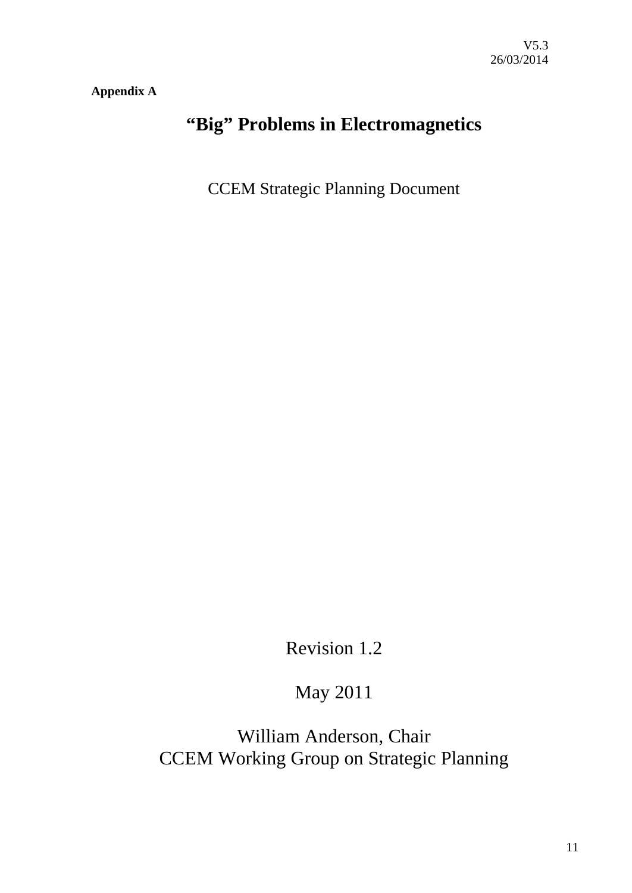**Appendix A**

# **"Big" Problems in Electromagnetics**

CCEM Strategic Planning Document

Revision 1.2

May 2011

William Anderson, Chair CCEM Working Group on Strategic Planning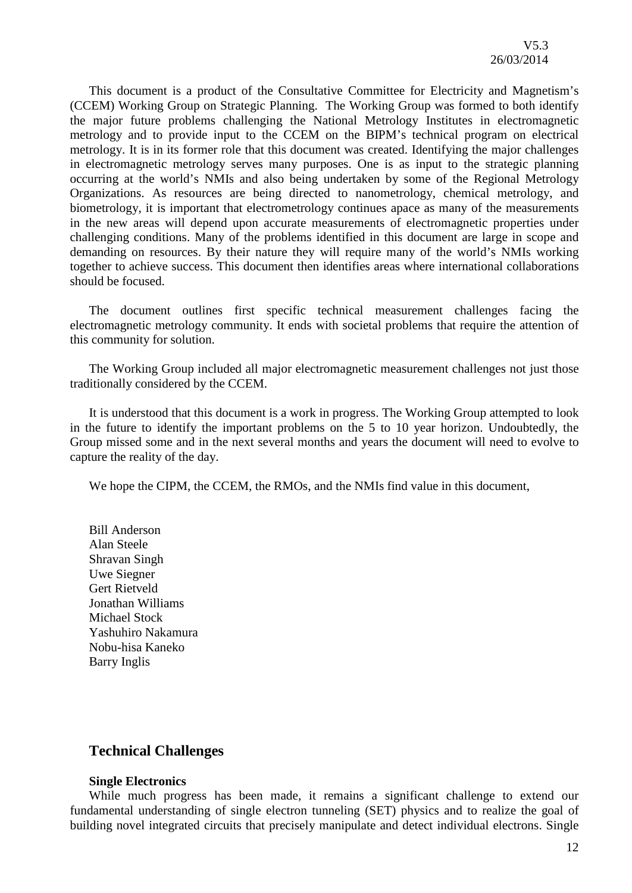This document is a product of the Consultative Committee for Electricity and Magnetism's (CCEM) Working Group on Strategic Planning. The Working Group was formed to both identify the major future problems challenging the National Metrology Institutes in electromagnetic metrology and to provide input to the CCEM on the BIPM's technical program on electrical metrology. It is in its former role that this document was created. Identifying the major challenges in electromagnetic metrology serves many purposes. One is as input to the strategic planning occurring at the world's NMIs and also being undertaken by some of the Regional Metrology Organizations. As resources are being directed to nanometrology, chemical metrology, and biometrology, it is important that electrometrology continues apace as many of the measurements in the new areas will depend upon accurate measurements of electromagnetic properties under challenging conditions. Many of the problems identified in this document are large in scope and demanding on resources. By their nature they will require many of the world's NMIs working together to achieve success. This document then identifies areas where international collaborations should be focused.

The document outlines first specific technical measurement challenges facing the electromagnetic metrology community. It ends with societal problems that require the attention of this community for solution.

The Working Group included all major electromagnetic measurement challenges not just those traditionally considered by the CCEM.

It is understood that this document is a work in progress. The Working Group attempted to look in the future to identify the important problems on the 5 to 10 year horizon. Undoubtedly, the Group missed some and in the next several months and years the document will need to evolve to capture the reality of the day.

We hope the CIPM, the CCEM, the RMOs, and the NMIs find value in this document,

Bill Anderson Alan Steele Shravan Singh Uwe Siegner Gert Rietveld Jonathan Williams Michael Stock Yashuhiro Nakamura Nobu-hisa Kaneko Barry Inglis

## **Technical Challenges**

#### **Single Electronics**

While much progress has been made, it remains a significant challenge to extend our fundamental understanding of single electron tunneling (SET) physics and to realize the goal of building novel integrated circuits that precisely manipulate and detect individual electrons. Single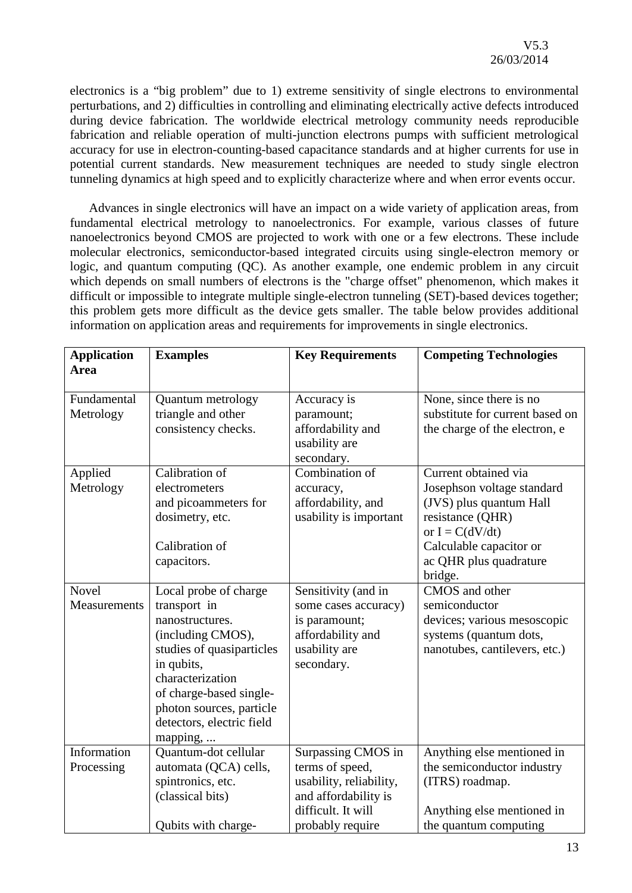electronics is a "big problem" due to 1) extreme sensitivity of single electrons to environmental perturbations, and 2) difficulties in controlling and eliminating electrically active defects introduced during device fabrication. The worldwide electrical metrology community needs reproducible fabrication and reliable operation of multi-junction electrons pumps with sufficient metrological accuracy for use in electron-counting-based capacitance standards and at higher currents for use in potential current standards. New measurement techniques are needed to study single electron tunneling dynamics at high speed and to explicitly characterize where and when error events occur.

Advances in single electronics will have an impact on a wide variety of application areas, from fundamental electrical metrology to nanoelectronics. For example, various classes of future nanoelectronics beyond CMOS are projected to work with one or a few electrons. These include molecular electronics, semiconductor-based integrated circuits using single-electron memory or logic, and quantum computing (QC). As another example, one endemic problem in any circuit which depends on small numbers of electrons is the "charge offset" phenomenon, which makes it difficult or impossible to integrate multiple single-electron tunneling (SET)-based devices together; this problem gets more difficult as the device gets smaller. The table below provides additional information on application areas and requirements for improvements in single electronics.

| <b>Application</b><br><b>Area</b> | <b>Examples</b>                         | <b>Key Requirements</b>                          | <b>Competing Technologies</b>                              |
|-----------------------------------|-----------------------------------------|--------------------------------------------------|------------------------------------------------------------|
| Fundamental<br>Metrology          | Quantum metrology<br>triangle and other | Accuracy is<br>paramount;                        | None, since there is no<br>substitute for current based on |
|                                   | consistency checks.                     | affordability and<br>usability are<br>secondary. | the charge of the electron, e                              |
| Applied                           | Calibration of                          | Combination of                                   | Current obtained via                                       |
| Metrology                         | electrometers                           | accuracy,                                        | Josephson voltage standard                                 |
|                                   | and picoammeters for                    | affordability, and                               | (JVS) plus quantum Hall                                    |
|                                   | dosimetry, etc.                         | usability is important                           | resistance (QHR)<br>or $I = C(dV/dt)$                      |
|                                   | Calibration of                          |                                                  | Calculable capacitor or                                    |
|                                   | capacitors.                             |                                                  | ac QHR plus quadrature                                     |
|                                   |                                         |                                                  | bridge.                                                    |
| <b>Novel</b>                      | Local probe of charge                   | Sensitivity (and in                              | CMOS and other                                             |
| Measurements                      | transport in                            | some cases accuracy)                             | semiconductor                                              |
|                                   | nanostructures.                         | is paramount;                                    | devices; various mesoscopic                                |
|                                   | (including CMOS),                       | affordability and                                | systems (quantum dots,                                     |
|                                   | studies of quasiparticles               | usability are                                    | nanotubes, cantilevers, etc.)                              |
|                                   | in qubits,                              | secondary.                                       |                                                            |
|                                   | characterization                        |                                                  |                                                            |
|                                   | of charge-based single-                 |                                                  |                                                            |
|                                   | photon sources, particle                |                                                  |                                                            |
|                                   | detectors, electric field               |                                                  |                                                            |
|                                   | mapping,                                |                                                  |                                                            |
| Information                       | Quantum-dot cellular                    | Surpassing CMOS in                               | Anything else mentioned in                                 |
| Processing                        | automata (QCA) cells,                   | terms of speed,                                  | the semiconductor industry                                 |
|                                   | spintronics, etc.                       | usability, reliability,                          | (ITRS) roadmap.                                            |
|                                   | (classical bits)                        | and affordability is                             |                                                            |
|                                   |                                         | difficult. It will                               | Anything else mentioned in                                 |
|                                   | Qubits with charge-                     | probably require                                 | the quantum computing                                      |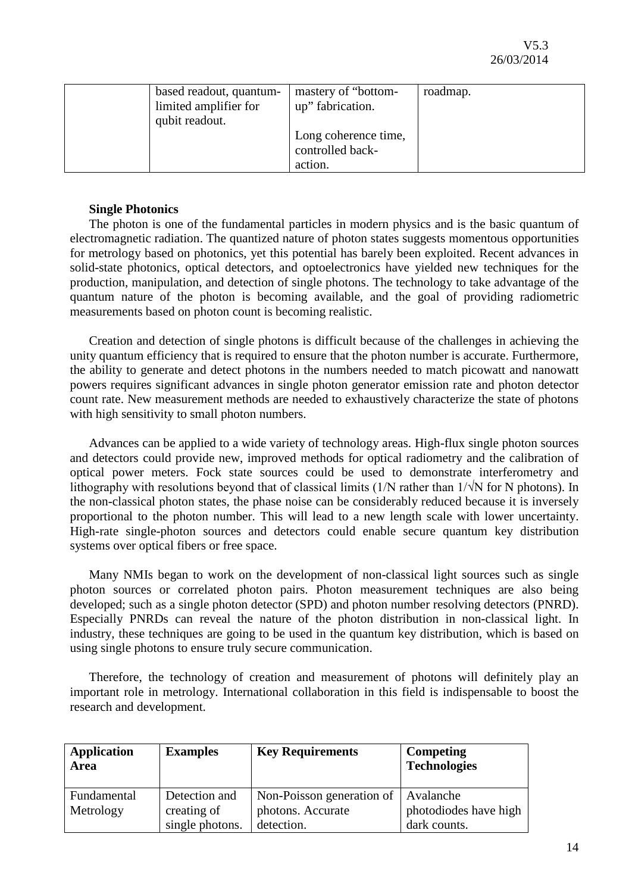| based readout, quantum-<br>limited amplifier for<br>qubit readout. | mastery of "bottom-<br>up" fabrication.             | roadmap. |
|--------------------------------------------------------------------|-----------------------------------------------------|----------|
|                                                                    | Long coherence time,<br>controlled back-<br>action. |          |

## **Single Photonics**

The photon is one of the fundamental particles in modern physics and is the basic quantum of electromagnetic radiation. The quantized nature of photon states suggests momentous opportunities for metrology based on photonics, yet this potential has barely been exploited. Recent advances in solid-state photonics, optical detectors, and optoelectronics have yielded new techniques for the production, manipulation, and detection of single photons. The technology to take advantage of the quantum nature of the photon is becoming available, and the goal of providing radiometric measurements based on photon count is becoming realistic.

Creation and detection of single photons is difficult because of the challenges in achieving the unity quantum efficiency that is required to ensure that the photon number is accurate. Furthermore, the ability to generate and detect photons in the numbers needed to match picowatt and nanowatt powers requires significant advances in single photon generator emission rate and photon detector count rate. New measurement methods are needed to exhaustively characterize the state of photons with high sensitivity to small photon numbers.

Advances can be applied to a wide variety of technology areas. High-flux single photon sources and detectors could provide new, improved methods for optical radiometry and the calibration of optical power meters. Fock state sources could be used to demonstrate interferometry and lithography with resolutions beyond that of classical limits (1/N rather than 1/√N for N photons). In the non-classical photon states, the phase noise can be considerably reduced because it is inversely proportional to the photon number. This will lead to a new length scale with lower uncertainty. High-rate single-photon sources and detectors could enable secure quantum key distribution systems over optical fibers or free space.

Many NMIs began to work on the development of non-classical light sources such as single photon sources or correlated photon pairs. Photon measurement techniques are also being developed; such as a single photon detector (SPD) and photon number resolving detectors (PNRD). Especially PNRDs can reveal the nature of the photon distribution in non-classical light. In industry, these techniques are going to be used in the quantum key distribution, which is based on using single photons to ensure truly secure communication.

Therefore, the technology of creation and measurement of photons will definitely play an important role in metrology. International collaboration in this field is indispensable to boost the research and development.

| <b>Application</b><br><b>Area</b> | <b>Examples</b> | <b>Key Requirements</b>               | Competing<br><b>Technologies</b> |
|-----------------------------------|-----------------|---------------------------------------|----------------------------------|
| Fundamental                       | Detection and   | Non-Poisson generation of   Avalanche |                                  |
| Metrology                         | creating of     | photons. Accurate                     | photodiodes have high            |
|                                   | single photons. | detection.                            | dark counts.                     |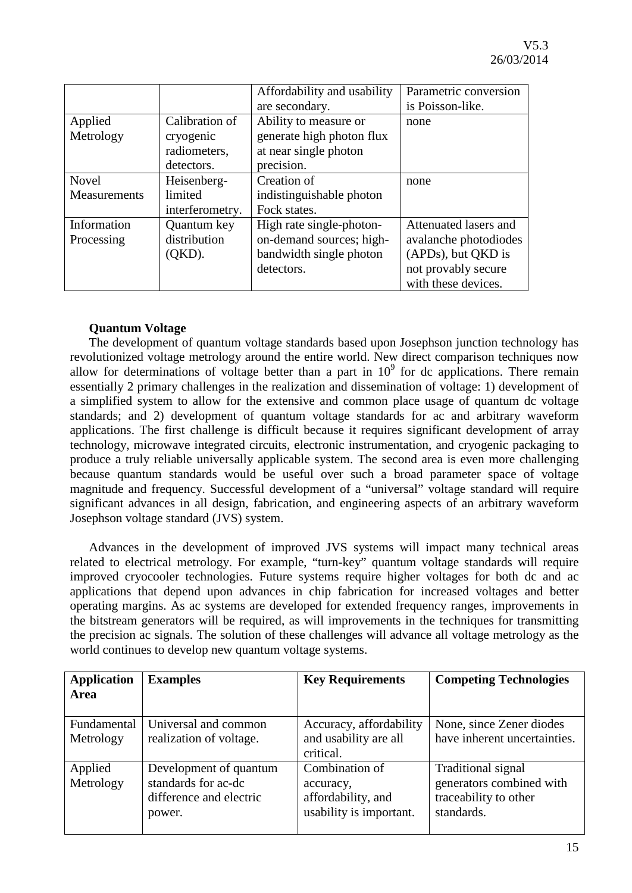|              |                 | Affordability and usability | Parametric conversion |
|--------------|-----------------|-----------------------------|-----------------------|
|              |                 | are secondary.              | is Poisson-like.      |
| Applied      | Calibration of  | Ability to measure or       | none                  |
| Metrology    | cryogenic       | generate high photon flux   |                       |
|              | radiometers,    | at near single photon       |                       |
|              | detectors.      | precision.                  |                       |
| <b>Novel</b> | Heisenberg-     | Creation of                 | none                  |
| Measurements | limited         | indistinguishable photon    |                       |
|              | interferometry. | Fock states.                |                       |
| Information  | Quantum key     | High rate single-photon-    | Attenuated lasers and |
| Processing   | distribution    | on-demand sources; high-    | avalanche photodiodes |
|              | (QKD).          | bandwidth single photon     | (APDs), but QKD is    |
|              |                 | detectors.                  | not provably secure   |
|              |                 |                             | with these devices.   |

## **Quantum Voltage**

The development of quantum voltage standards based upon Josephson junction technology has revolutionized voltage metrology around the entire world. New direct comparison techniques now allow for determinations of voltage better than a part in  $10<sup>9</sup>$  for dc applications. There remain essentially 2 primary challenges in the realization and dissemination of voltage: 1) development of a simplified system to allow for the extensive and common place usage of quantum dc voltage standards; and 2) development of quantum voltage standards for ac and arbitrary waveform applications. The first challenge is difficult because it requires significant development of array technology, microwave integrated circuits, electronic instrumentation, and cryogenic packaging to produce a truly reliable universally applicable system. The second area is even more challenging because quantum standards would be useful over such a broad parameter space of voltage magnitude and frequency. Successful development of a "universal" voltage standard will require significant advances in all design, fabrication, and engineering aspects of an arbitrary waveform Josephson voltage standard (JVS) system.

Advances in the development of improved JVS systems will impact many technical areas related to electrical metrology. For example, "turn-key" quantum voltage standards will require improved cryocooler technologies. Future systems require higher voltages for both dc and ac applications that depend upon advances in chip fabrication for increased voltages and better operating margins. As ac systems are developed for extended frequency ranges, improvements in the bitstream generators will be required, as will improvements in the techniques for transmitting the precision ac signals. The solution of these challenges will advance all voltage metrology as the world continues to develop new quantum voltage systems.

| <b>Application</b> | <b>Examples</b>         | <b>Key Requirements</b> | <b>Competing Technologies</b> |
|--------------------|-------------------------|-------------------------|-------------------------------|
| <b>Area</b>        |                         |                         |                               |
|                    |                         |                         |                               |
| Fundamental        | Universal and common    | Accuracy, affordability | None, since Zener diodes      |
| Metrology          | realization of voltage. | and usability are all   | have inherent uncertainties.  |
|                    |                         | critical.               |                               |
| Applied            | Development of quantum  | Combination of          | Traditional signal            |
| Metrology          | standards for ac-dc     | accuracy,               | generators combined with      |
|                    | difference and electric | affordability, and      | traceability to other         |
|                    | power.                  | usability is important. | standards.                    |
|                    |                         |                         |                               |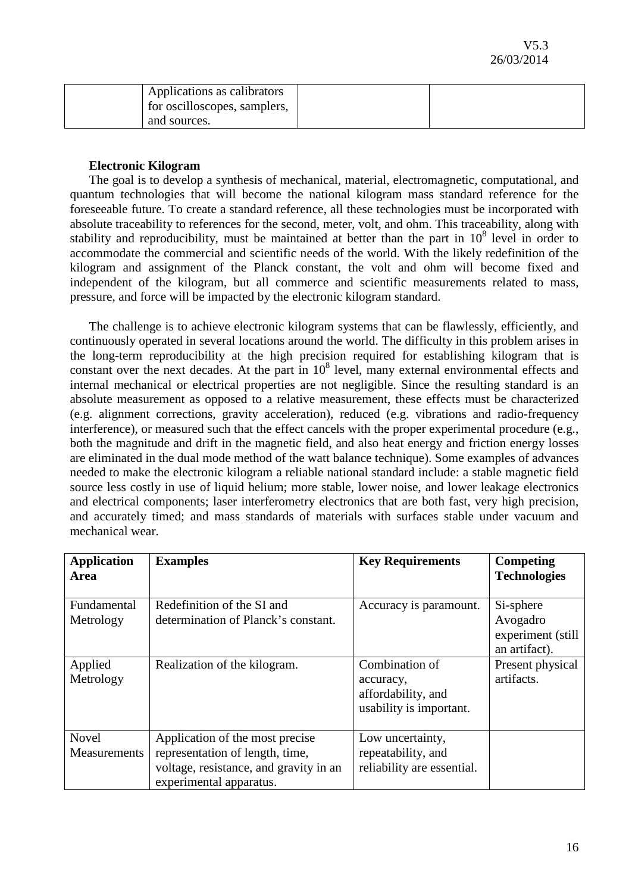| Applications as calibrators<br>for oscilloscopes, samplers, |  |
|-------------------------------------------------------------|--|
| and sources.                                                |  |

## **Electronic Kilogram**

The goal is to develop a synthesis of mechanical, material, electromagnetic, computational, and quantum technologies that will become the national kilogram mass standard reference for the foreseeable future. To create a standard reference, all these technologies must be incorporated with absolute traceability to references for the second, meter, volt, and ohm. This traceability, along with stability and reproducibility, must be maintained at better than the part in  $10<sup>8</sup>$  level in order to accommodate the commercial and scientific needs of the world. With the likely redefinition of the kilogram and assignment of the Planck constant, the volt and ohm will become fixed and independent of the kilogram, but all commerce and scientific measurements related to mass, pressure, and force will be impacted by the electronic kilogram standard.

The challenge is to achieve electronic kilogram systems that can be flawlessly, efficiently, and continuously operated in several locations around the world. The difficulty in this problem arises in the long-term reproducibility at the high precision required for establishing kilogram that is constant over the next decades. At the part in  $10^8$  level, many external environmental effects and internal mechanical or electrical properties are not negligible. Since the resulting standard is an absolute measurement as opposed to a relative measurement, these effects must be characterized (e.g. alignment corrections, gravity acceleration), reduced (e.g. vibrations and radio-frequency interference), or measured such that the effect cancels with the proper experimental procedure (e.g., both the magnitude and drift in the magnetic field, and also heat energy and friction energy losses are eliminated in the dual mode method of the watt balance technique). Some examples of advances needed to make the electronic kilogram a reliable national standard include: a stable magnetic field source less costly in use of liquid helium; more stable, lower noise, and lower leakage electronics and electrical components; laser interferometry electronics that are both fast, very high precision, and accurately timed; and mass standards of materials with surfaces stable under vacuum and mechanical wear.

| <b>Application</b><br>Area   | <b>Examples</b>                                                                                                                         | <b>Key Requirements</b>                                                      | <b>Competing</b><br><b>Technologies</b>                     |
|------------------------------|-----------------------------------------------------------------------------------------------------------------------------------------|------------------------------------------------------------------------------|-------------------------------------------------------------|
| Fundamental<br>Metrology     | Redefinition of the SI and<br>determination of Planck's constant.                                                                       | Accuracy is paramount.                                                       | Si-sphere<br>Avogadro<br>experiment (still<br>an artifact). |
| Applied<br>Metrology         | Realization of the kilogram.                                                                                                            | Combination of<br>accuracy,<br>affordability, and<br>usability is important. | Present physical<br>artifacts.                              |
| <b>Novel</b><br>Measurements | Application of the most precise<br>representation of length, time,<br>voltage, resistance, and gravity in an<br>experimental apparatus. | Low uncertainty,<br>repeatability, and<br>reliability are essential.         |                                                             |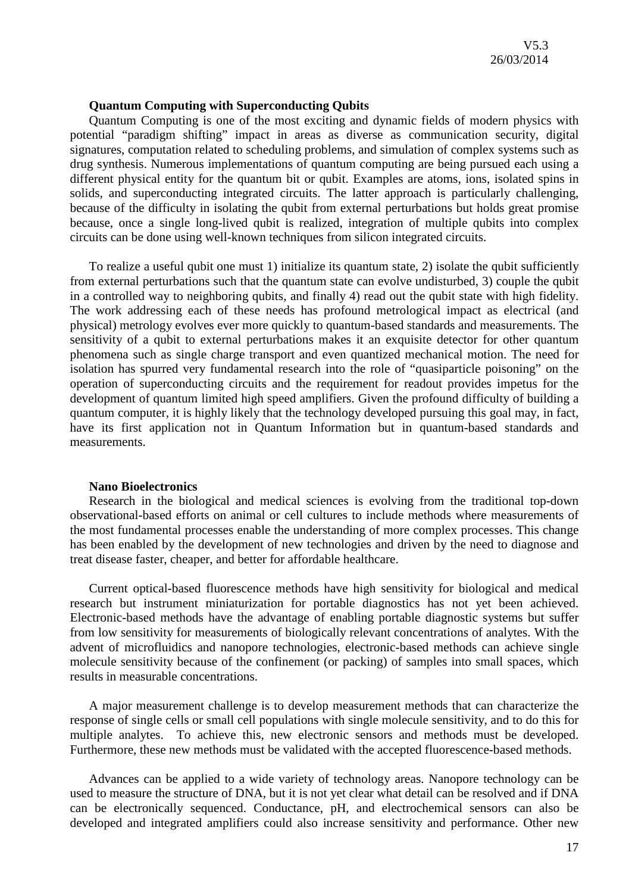#### **Quantum Computing with Superconducting Qubits**

Quantum Computing is one of the most exciting and dynamic fields of modern physics with potential "paradigm shifting" impact in areas as diverse as communication security, digital signatures, computation related to scheduling problems, and simulation of complex systems such as drug synthesis. Numerous implementations of quantum computing are being pursued each using a different physical entity for the quantum bit or qubit. Examples are atoms, ions, isolated spins in solids, and superconducting integrated circuits. The latter approach is particularly challenging, because of the difficulty in isolating the qubit from external perturbations but holds great promise because, once a single long-lived qubit is realized, integration of multiple qubits into complex circuits can be done using well-known techniques from silicon integrated circuits.

To realize a useful qubit one must 1) initialize its quantum state, 2) isolate the qubit sufficiently from external perturbations such that the quantum state can evolve undisturbed, 3) couple the qubit in a controlled way to neighboring qubits, and finally 4) read out the qubit state with high fidelity. The work addressing each of these needs has profound metrological impact as electrical (and physical) metrology evolves ever more quickly to quantum-based standards and measurements. The sensitivity of a qubit to external perturbations makes it an exquisite detector for other quantum phenomena such as single charge transport and even quantized mechanical motion. The need for isolation has spurred very fundamental research into the role of "quasiparticle poisoning" on the operation of superconducting circuits and the requirement for readout provides impetus for the development of quantum limited high speed amplifiers. Given the profound difficulty of building a quantum computer, it is highly likely that the technology developed pursuing this goal may, in fact, have its first application not in Quantum Information but in quantum-based standards and measurements.

#### **Nano Bioelectronics**

Research in the biological and medical sciences is evolving from the traditional top-down observational-based efforts on animal or cell cultures to include methods where measurements of the most fundamental processes enable the understanding of more complex processes. This change has been enabled by the development of new technologies and driven by the need to diagnose and treat disease faster, cheaper, and better for affordable healthcare.

Current optical-based fluorescence methods have high sensitivity for biological and medical research but instrument miniaturization for portable diagnostics has not yet been achieved. Electronic-based methods have the advantage of enabling portable diagnostic systems but suffer from low sensitivity for measurements of biologically relevant concentrations of analytes. With the advent of microfluidics and nanopore technologies, electronic-based methods can achieve single molecule sensitivity because of the confinement (or packing) of samples into small spaces, which results in measurable concentrations.

A major measurement challenge is to develop measurement methods that can characterize the response of single cells or small cell populations with single molecule sensitivity, and to do this for multiple analytes. To achieve this, new electronic sensors and methods must be developed. Furthermore, these new methods must be validated with the accepted fluorescence-based methods.

Advances can be applied to a wide variety of technology areas. Nanopore technology can be used to measure the structure of DNA, but it is not yet clear what detail can be resolved and if DNA can be electronically sequenced. Conductance, pH, and electrochemical sensors can also be developed and integrated amplifiers could also increase sensitivity and performance. Other new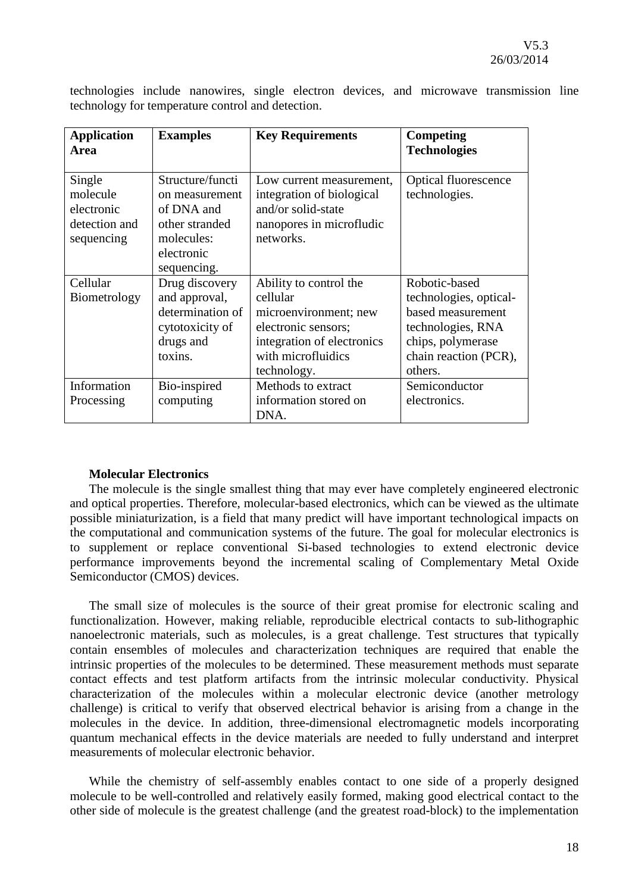|                                                   |  |  |  | technologies include nanowires, single electron devices, and microwave transmission line |  |
|---------------------------------------------------|--|--|--|------------------------------------------------------------------------------------------|--|
| technology for temperature control and detection. |  |  |  |                                                                                          |  |

| <b>Application</b><br>Area                                      | <b>Examples</b>                                                                                               | <b>Key Requirements</b>                                                                                                                               | <b>Competing</b><br><b>Technologies</b>                                                                                                    |
|-----------------------------------------------------------------|---------------------------------------------------------------------------------------------------------------|-------------------------------------------------------------------------------------------------------------------------------------------------------|--------------------------------------------------------------------------------------------------------------------------------------------|
| Single<br>molecule<br>electronic<br>detection and<br>sequencing | Structure/functi<br>on measurement<br>of DNA and<br>other stranded<br>molecules:<br>electronic<br>sequencing. | Low current measurement,<br>integration of biological<br>and/or solid-state<br>nanopores in microfludic<br>networks.                                  | <b>Optical fluorescence</b><br>technologies.                                                                                               |
| Cellular<br>Biometrology                                        | Drug discovery<br>and approval,<br>determination of<br>cytotoxicity of<br>drugs and<br>toxins.                | Ability to control the<br>cellular<br>microenvironment; new<br>electronic sensors;<br>integration of electronics<br>with microfluidics<br>technology. | Robotic-based<br>technologies, optical-<br>based measurement<br>technologies, RNA<br>chips, polymerase<br>chain reaction (PCR),<br>others. |
| Information<br>Processing                                       | Bio-inspired<br>computing                                                                                     | Methods to extract<br>information stored on<br>DNA.                                                                                                   | Semiconductor<br>electronics.                                                                                                              |

## **Molecular Electronics**

The molecule is the single smallest thing that may ever have completely engineered electronic and optical properties. Therefore, molecular-based electronics, which can be viewed as the ultimate possible miniaturization, is a field that many predict will have important technological impacts on the computational and communication systems of the future. The goal for molecular electronics is to supplement or replace conventional Si-based technologies to extend electronic device performance improvements beyond the incremental scaling of Complementary Metal Oxide Semiconductor (CMOS) devices.

The small size of molecules is the source of their great promise for electronic scaling and functionalization. However, making reliable, reproducible electrical contacts to sub-lithographic nanoelectronic materials, such as molecules, is a great challenge. Test structures that typically contain ensembles of molecules and characterization techniques are required that enable the intrinsic properties of the molecules to be determined. These measurement methods must separate contact effects and test platform artifacts from the intrinsic molecular conductivity. Physical characterization of the molecules within a molecular electronic device (another metrology challenge) is critical to verify that observed electrical behavior is arising from a change in the molecules in the device. In addition, three-dimensional electromagnetic models incorporating quantum mechanical effects in the device materials are needed to fully understand and interpret measurements of molecular electronic behavior.

While the chemistry of self-assembly enables contact to one side of a properly designed molecule to be well-controlled and relatively easily formed, making good electrical contact to the other side of molecule is the greatest challenge (and the greatest road-block) to the implementation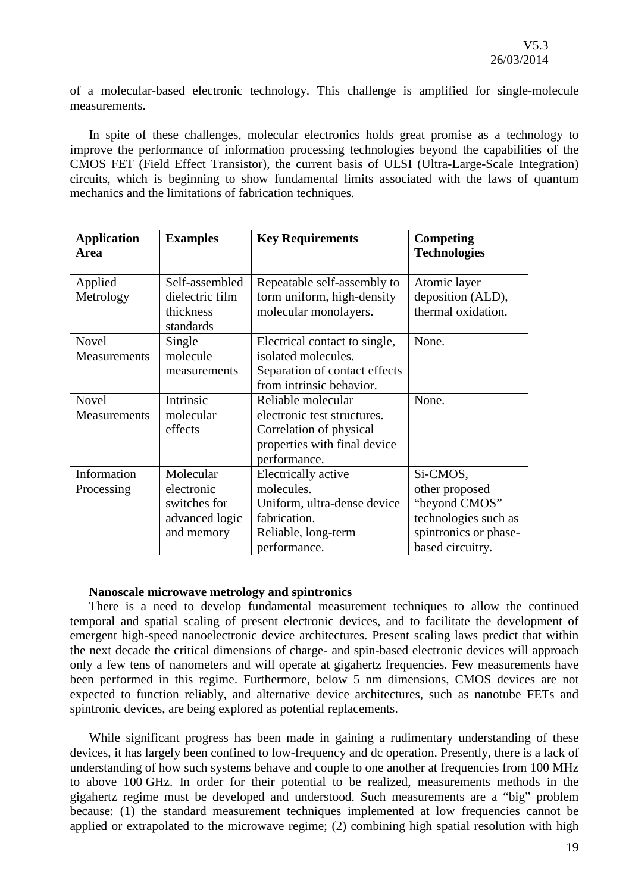of a molecular-based electronic technology. This challenge is amplified for single-molecule measurements.

In spite of these challenges, molecular electronics holds great promise as a technology to improve the performance of information processing technologies beyond the capabilities of the CMOS FET (Field Effect Transistor), the current basis of ULSI (Ultra-Large-Scale Integration) circuits, which is beginning to show fundamental limits associated with the laws of quantum mechanics and the limitations of fabrication techniques.

| <b>Application</b><br>Area | <b>Examples</b> | <b>Key Requirements</b>       | Competing<br><b>Technologies</b> |
|----------------------------|-----------------|-------------------------------|----------------------------------|
|                            |                 |                               |                                  |
| Applied                    | Self-assembled  | Repeatable self-assembly to   | Atomic layer                     |
| Metrology                  | dielectric film | form uniform, high-density    | deposition (ALD),                |
|                            | thickness       | molecular monolayers.         | thermal oxidation.               |
|                            | standards       |                               |                                  |
| <b>Novel</b>               | Single          | Electrical contact to single, | None.                            |
| <b>Measurements</b>        | molecule        | isolated molecules.           |                                  |
|                            | measurements    | Separation of contact effects |                                  |
|                            |                 | from intrinsic behavior.      |                                  |
| <b>Novel</b>               | Intrinsic       | Reliable molecular            | None.                            |
| Measurements               | molecular       | electronic test structures.   |                                  |
|                            | effects         | Correlation of physical       |                                  |
|                            |                 | properties with final device  |                                  |
|                            |                 | performance.                  |                                  |
| Information                | Molecular       | Electrically active           | Si-CMOS,                         |
| Processing                 | electronic      | molecules.                    | other proposed                   |
|                            | switches for    | Uniform, ultra-dense device   | "beyond CMOS"                    |
|                            | advanced logic  | fabrication.                  | technologies such as             |
|                            | and memory      | Reliable, long-term           | spintronics or phase-            |
|                            |                 | performance.                  | based circuitry.                 |

#### **Nanoscale microwave metrology and spintronics**

There is a need to develop fundamental measurement techniques to allow the continued temporal and spatial scaling of present electronic devices, and to facilitate the development of emergent high-speed nanoelectronic device architectures. Present scaling laws predict that within the next decade the critical dimensions of charge- and spin-based electronic devices will approach only a few tens of nanometers and will operate at gigahertz frequencies. Few measurements have been performed in this regime. Furthermore, below 5 nm dimensions, CMOS devices are not expected to function reliably, and alternative device architectures, such as nanotube FETs and spintronic devices, are being explored as potential replacements.

While significant progress has been made in gaining a rudimentary understanding of these devices, it has largely been confined to low-frequency and dc operation. Presently, there is a lack of understanding of how such systems behave and couple to one another at frequencies from 100 MHz to above 100 GHz. In order for their potential to be realized, measurements methods in the gigahertz regime must be developed and understood. Such measurements are a "big" problem because: (1) the standard measurement techniques implemented at low frequencies cannot be applied or extrapolated to the microwave regime; (2) combining high spatial resolution with high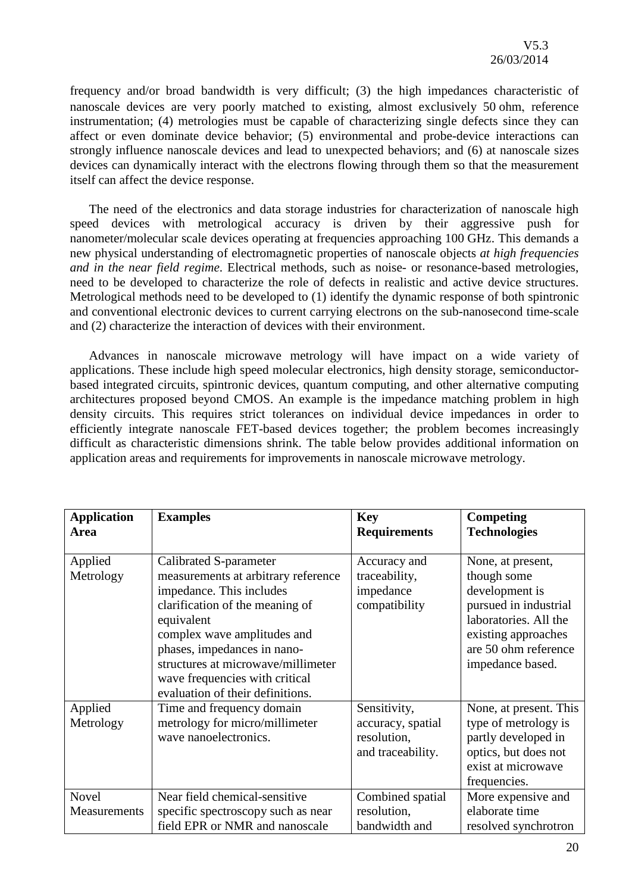frequency and/or broad bandwidth is very difficult; (3) the high impedances characteristic of nanoscale devices are very poorly matched to existing, almost exclusively 50 ohm, reference instrumentation; (4) metrologies must be capable of characterizing single defects since they can affect or even dominate device behavior; (5) environmental and probe-device interactions can strongly influence nanoscale devices and lead to unexpected behaviors; and (6) at nanoscale sizes devices can dynamically interact with the electrons flowing through them so that the measurement itself can affect the device response.

The need of the electronics and data storage industries for characterization of nanoscale high speed devices with metrological accuracy is driven by their aggressive push for nanometer/molecular scale devices operating at frequencies approaching 100 GHz. This demands a new physical understanding of electromagnetic properties of nanoscale objects *at high frequencies and in the near field regime*. Electrical methods, such as noise- or resonance-based metrologies, need to be developed to characterize the role of defects in realistic and active device structures. Metrological methods need to be developed to (1) identify the dynamic response of both spintronic and conventional electronic devices to current carrying electrons on the sub-nanosecond time-scale and (2) characterize the interaction of devices with their environment.

Advances in nanoscale microwave metrology will have impact on a wide variety of applications. These include high speed molecular electronics, high density storage, semiconductorbased integrated circuits, spintronic devices, quantum computing, and other alternative computing architectures proposed beyond CMOS. An example is the impedance matching problem in high density circuits. This requires strict tolerances on individual device impedances in order to efficiently integrate nanoscale FET-based devices together; the problem becomes increasingly difficult as characteristic dimensions shrink. The table below provides additional information on application areas and requirements for improvements in nanoscale microwave metrology.

| <b>Application</b><br><b>Area</b> | <b>Examples</b>                                                                                                                                                                                                                                                                                                      | <b>Key</b><br><b>Requirements</b>                                     | <b>Competing</b><br><b>Technologies</b>                                                                                                                                 |
|-----------------------------------|----------------------------------------------------------------------------------------------------------------------------------------------------------------------------------------------------------------------------------------------------------------------------------------------------------------------|-----------------------------------------------------------------------|-------------------------------------------------------------------------------------------------------------------------------------------------------------------------|
| Applied<br>Metrology              | Calibrated S-parameter<br>measurements at arbitrary reference<br>impedance. This includes<br>clarification of the meaning of<br>equivalent<br>complex wave amplitudes and<br>phases, impedances in nano-<br>structures at microwave/millimeter<br>wave frequencies with critical<br>evaluation of their definitions. | Accuracy and<br>traceability,<br>impedance<br>compatibility           | None, at present,<br>though some<br>development is<br>pursued in industrial<br>laboratories. All the<br>existing approaches<br>are 50 ohm reference<br>impedance based. |
| Applied<br>Metrology              | Time and frequency domain<br>metrology for micro/millimeter<br>wave nanoelectronics.                                                                                                                                                                                                                                 | Sensitivity,<br>accuracy, spatial<br>resolution,<br>and traceability. | None, at present. This<br>type of metrology is<br>partly developed in<br>optics, but does not<br>exist at microwave<br>frequencies.                                     |
| Novel<br><b>Measurements</b>      | Near field chemical-sensitive<br>specific spectroscopy such as near<br>field EPR or NMR and nanoscale                                                                                                                                                                                                                | Combined spatial<br>resolution,<br>bandwidth and                      | More expensive and<br>elaborate time<br>resolved synchrotron                                                                                                            |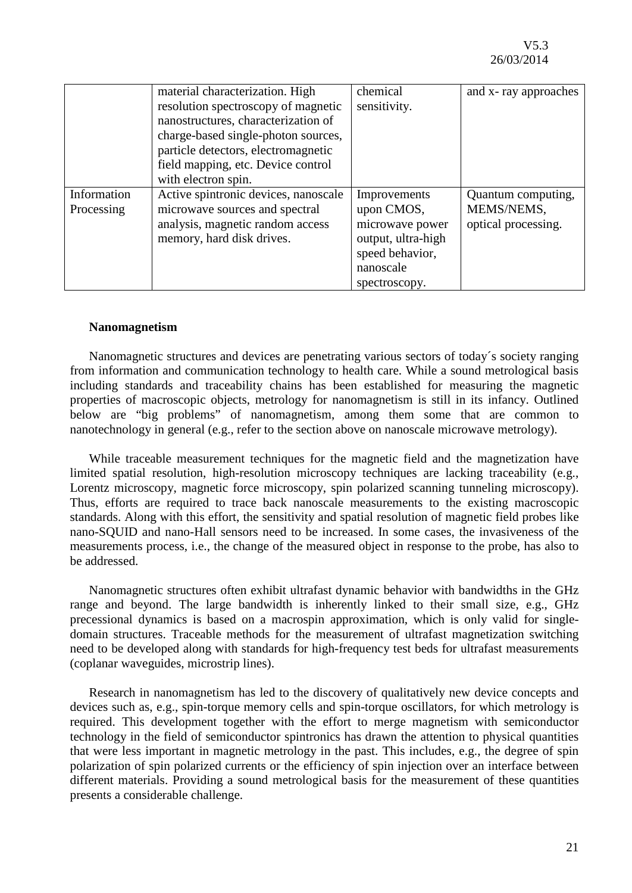|             | material characterization. High      | chemical           | and x-ray approaches |
|-------------|--------------------------------------|--------------------|----------------------|
|             | resolution spectroscopy of magnetic  | sensitivity.       |                      |
|             | nanostructures, characterization of  |                    |                      |
|             | charge-based single-photon sources,  |                    |                      |
|             | particle detectors, electromagnetic  |                    |                      |
|             | field mapping, etc. Device control   |                    |                      |
|             | with electron spin.                  |                    |                      |
| Information | Active spintronic devices, nanoscale | Improvements       | Quantum computing,   |
| Processing  | microwave sources and spectral       | upon CMOS,         | MEMS/NEMS,           |
|             | analysis, magnetic random access     | microwave power    | optical processing.  |
|             | memory, hard disk drives.            | output, ultra-high |                      |
|             |                                      | speed behavior,    |                      |
|             |                                      | nanoscale          |                      |
|             |                                      | spectroscopy.      |                      |

#### **Nanomagnetism**

Nanomagnetic structures and devices are penetrating various sectors of today´s society ranging from information and communication technology to health care. While a sound metrological basis including standards and traceability chains has been established for measuring the magnetic properties of macroscopic objects, metrology for nanomagnetism is still in its infancy. Outlined below are "big problems" of nanomagnetism, among them some that are common to nanotechnology in general (e.g., refer to the section above on nanoscale microwave metrology).

While traceable measurement techniques for the magnetic field and the magnetization have limited spatial resolution, high-resolution microscopy techniques are lacking traceability (e.g., Lorentz microscopy, magnetic force microscopy, spin polarized scanning tunneling microscopy). Thus, efforts are required to trace back nanoscale measurements to the existing macroscopic standards. Along with this effort, the sensitivity and spatial resolution of magnetic field probes like nano-SQUID and nano-Hall sensors need to be increased. In some cases, the invasiveness of the measurements process, i.e., the change of the measured object in response to the probe, has also to be addressed.

Nanomagnetic structures often exhibit ultrafast dynamic behavior with bandwidths in the GHz range and beyond. The large bandwidth is inherently linked to their small size, e.g., GHz precessional dynamics is based on a macrospin approximation, which is only valid for singledomain structures. Traceable methods for the measurement of ultrafast magnetization switching need to be developed along with standards for high-frequency test beds for ultrafast measurements (coplanar waveguides, microstrip lines).

Research in nanomagnetism has led to the discovery of qualitatively new device concepts and devices such as, e.g., spin-torque memory cells and spin-torque oscillators, for which metrology is required. This development together with the effort to merge magnetism with semiconductor technology in the field of semiconductor spintronics has drawn the attention to physical quantities that were less important in magnetic metrology in the past. This includes, e.g., the degree of spin polarization of spin polarized currents or the efficiency of spin injection over an interface between different materials. Providing a sound metrological basis for the measurement of these quantities presents a considerable challenge.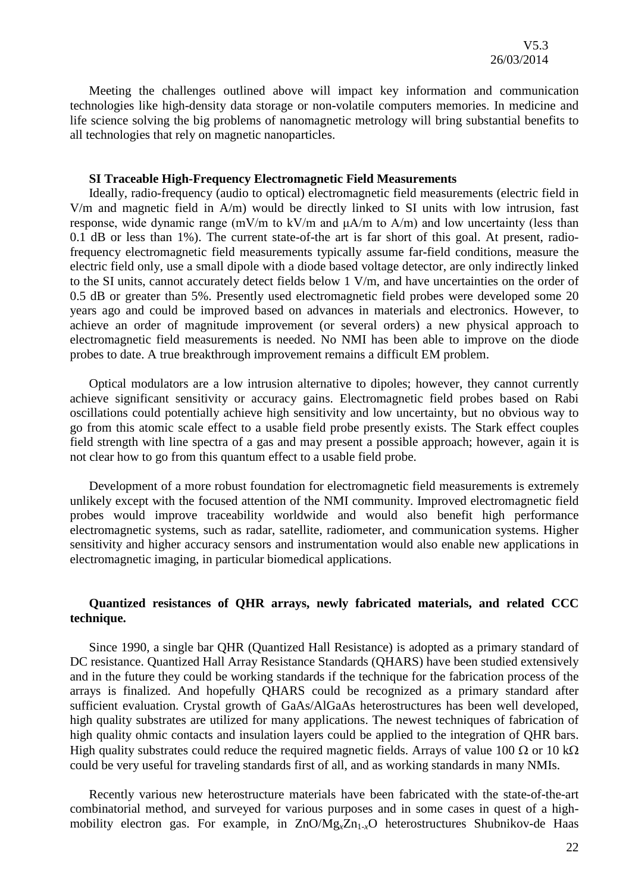Meeting the challenges outlined above will impact key information and communication technologies like high-density data storage or non-volatile computers memories. In medicine and life science solving the big problems of nanomagnetic metrology will bring substantial benefits to all technologies that rely on magnetic nanoparticles.

#### **SI Traceable High-Frequency Electromagnetic Field Measurements**

Ideally, radio-frequency (audio to optical) electromagnetic field measurements (electric field in V/m and magnetic field in A/m) would be directly linked to SI units with low intrusion, fast response, wide dynamic range (mV/m to kV/m and μA/m to A/m) and low uncertainty (less than 0.1 dB or less than 1%). The current state-of-the art is far short of this goal. At present, radiofrequency electromagnetic field measurements typically assume far-field conditions, measure the electric field only, use a small dipole with a diode based voltage detector, are only indirectly linked to the SI units, cannot accurately detect fields below 1 V/m, and have uncertainties on the order of 0.5 dB or greater than 5%. Presently used electromagnetic field probes were developed some 20 years ago and could be improved based on advances in materials and electronics. However, to achieve an order of magnitude improvement (or several orders) a new physical approach to electromagnetic field measurements is needed. No NMI has been able to improve on the diode probes to date. A true breakthrough improvement remains a difficult EM problem.

Optical modulators are a low intrusion alternative to dipoles; however, they cannot currently achieve significant sensitivity or accuracy gains. Electromagnetic field probes based on Rabi oscillations could potentially achieve high sensitivity and low uncertainty, but no obvious way to go from this atomic scale effect to a usable field probe presently exists. The Stark effect couples field strength with line spectra of a gas and may present a possible approach; however, again it is not clear how to go from this quantum effect to a usable field probe.

Development of a more robust foundation for electromagnetic field measurements is extremely unlikely except with the focused attention of the NMI community. Improved electromagnetic field probes would improve traceability worldwide and would also benefit high performance electromagnetic systems, such as radar, satellite, radiometer, and communication systems. Higher sensitivity and higher accuracy sensors and instrumentation would also enable new applications in electromagnetic imaging, in particular biomedical applications.

#### **Quantized resistances of QHR arrays, newly fabricated materials, and related CCC technique.**

Since 1990, a single bar QHR (Quantized Hall Resistance) is adopted as a primary standard of DC resistance. Quantized Hall Array Resistance Standards (QHARS) have been studied extensively and in the future they could be working standards if the technique for the fabrication process of the arrays is finalized. And hopefully QHARS could be recognized as a primary standard after sufficient evaluation. Crystal growth of GaAs/AlGaAs heterostructures has been well developed, high quality substrates are utilized for many applications. The newest techniques of fabrication of high quality ohmic contacts and insulation layers could be applied to the integration of QHR bars. High quality substrates could reduce the required magnetic fields. Arrays of value 100  $\Omega$  or 10 k $\Omega$ could be very useful for traveling standards first of all, and as working standards in many NMIs.

Recently various new heterostructure materials have been fabricated with the state-of-the-art combinatorial method, and surveyed for various purposes and in some cases in quest of a highmobility electron gas. For example, in ZnO/Mg<sub>x</sub>Zn<sub>1-x</sub>O heterostructures Shubnikov-de Haas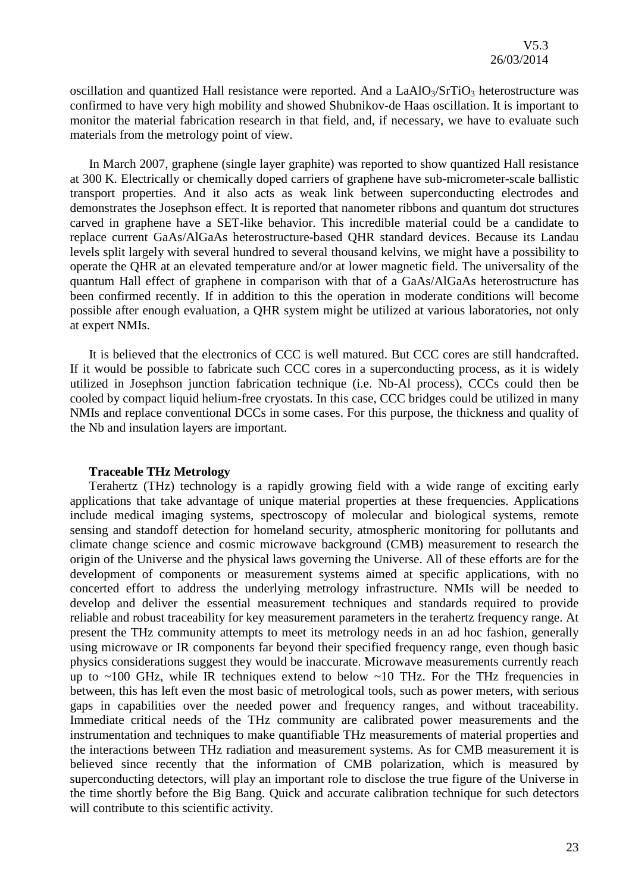oscillation and quantized Hall resistance were reported. And a  $LaAlO<sub>3</sub>/STIO<sub>3</sub>$  heterostructure was confirmed to have very high mobility and showed Shubnikov-de Haas oscillation. It is important to monitor the material fabrication research in that field, and, if necessary, we have to evaluate such materials from the metrology point of view.

In March 2007, graphene (single layer graphite) was reported to show quantized Hall resistance at 300 K. Electrically or chemically doped carriers of graphene have sub-micrometer-scale ballistic transport properties. And it also acts as weak link between superconducting electrodes and demonstrates the Josephson effect. It is reported that nanometer ribbons and quantum dot structures carved in graphene have a SET-like behavior. This incredible material could be a candidate to replace current GaAs/AlGaAs heterostructure-based QHR standard devices. Because its Landau levels split largely with several hundred to several thousand kelvins, we might have a possibility to operate the QHR at an elevated temperature and/or at lower magnetic field. The universality of the quantum Hall effect of graphene in comparison with that of a GaAs/AlGaAs heterostructure has been confirmed recently. If in addition to this the operation in moderate conditions will become possible after enough evaluation, a QHR system might be utilized at various laboratories, not only at expert NMIs.

It is believed that the electronics of CCC is well matured. But CCC cores are still handcrafted. If it would be possible to fabricate such CCC cores in a superconducting process, as it is widely utilized in Josephson junction fabrication technique (i.e. Nb-Al process), CCCs could then be cooled by compact liquid helium-free cryostats. In this case, CCC bridges could be utilized in many NMIs and replace conventional DCCs in some cases. For this purpose, the thickness and quality of the Nb and insulation layers are important.

#### **Traceable THz Metrology**

Terahertz (THz) technology is a rapidly growing field with a wide range of exciting early applications that take advantage of unique material properties at these frequencies. Applications include medical imaging systems, spectroscopy of molecular and biological systems, remote sensing and standoff detection for homeland security, atmospheric monitoring for pollutants and climate change science and cosmic microwave background (CMB) measurement to research the origin of the Universe and the physical laws governing the Universe. All of these efforts are for the development of components or measurement systems aimed at specific applications, with no concerted effort to address the underlying metrology infrastructure. NMIs will be needed to develop and deliver the essential measurement techniques and standards required to provide reliable and robust traceability for key measurement parameters in the terahertz frequency range. At present the THz community attempts to meet its metrology needs in an ad hoc fashion, generally using microwave or IR components far beyond their specified frequency range, even though basic physics considerations suggest they would be inaccurate. Microwave measurements currently reach up to  $\sim$ 100 GHz, while IR techniques extend to below  $\sim$ 10 THz. For the THz frequencies in between, this has left even the most basic of metrological tools, such as power meters, with serious gaps in capabilities over the needed power and frequency ranges, and without traceability. Immediate critical needs of the THz community are calibrated power measurements and the instrumentation and techniques to make quantifiable THz measurements of material properties and the interactions between THz radiation and measurement systems. As for CMB measurement it is believed since recently that the information of CMB polarization, which is measured by superconducting detectors, will play an important role to disclose the true figure of the Universe in the time shortly before the Big Bang. Quick and accurate calibration technique for such detectors will contribute to this scientific activity.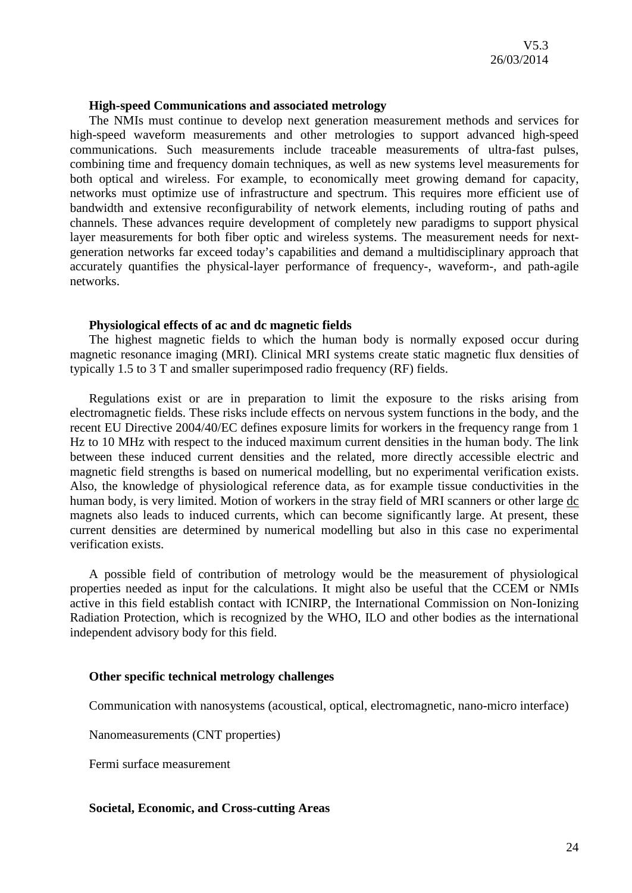#### **High-speed Communications and associated metrology**

The NMIs must continue to develop next generation measurement methods and services for high-speed waveform measurements and other metrologies to support advanced high-speed communications. Such measurements include traceable measurements of ultra-fast pulses, combining time and frequency domain techniques, as well as new systems level measurements for both optical and wireless. For example, to economically meet growing demand for capacity, networks must optimize use of infrastructure and spectrum. This requires more efficient use of bandwidth and extensive reconfigurability of network elements, including routing of paths and channels. These advances require development of completely new paradigms to support physical layer measurements for both fiber optic and wireless systems. The measurement needs for nextgeneration networks far exceed today's capabilities and demand a multidisciplinary approach that accurately quantifies the physical-layer performance of frequency-, waveform-, and path-agile networks.

#### **Physiological effects of ac and dc magnetic fields**

The highest magnetic fields to which the human body is normally exposed occur during magnetic resonance imaging (MRI). Clinical MRI systems create static magnetic flux densities of typically 1.5 to 3 T and smaller superimposed radio frequency (RF) fields.

Regulations exist or are in preparation to limit the exposure to the risks arising from electromagnetic fields. These risks include effects on nervous system functions in the body, and the recent EU Directive 2004/40/EC defines exposure limits for workers in the frequency range from 1 Hz to 10 MHz with respect to the induced maximum current densities in the human body. The link between these induced current densities and the related, more directly accessible electric and magnetic field strengths is based on numerical modelling, but no experimental verification exists. Also, the knowledge of physiological reference data, as for example tissue conductivities in the human body, is very limited. Motion of workers in the stray field of MRI scanners or other large dc magnets also leads to induced currents, which can become significantly large. At present, these current densities are determined by numerical modelling but also in this case no experimental verification exists.

A possible field of contribution of metrology would be the measurement of physiological properties needed as input for the calculations. It might also be useful that the CCEM or NMIs active in this field establish contact with ICNIRP, the International Commission on Non-Ionizing Radiation Protection, which is recognized by the WHO, ILO and other bodies as the international independent advisory body for this field.

#### **Other specific technical metrology challenges**

Communication with nanosystems (acoustical, optical, electromagnetic, nano-micro interface)

Nanomeasurements (CNT properties)

Fermi surface measurement

#### **Societal, Economic, and Cross-cutting Areas**